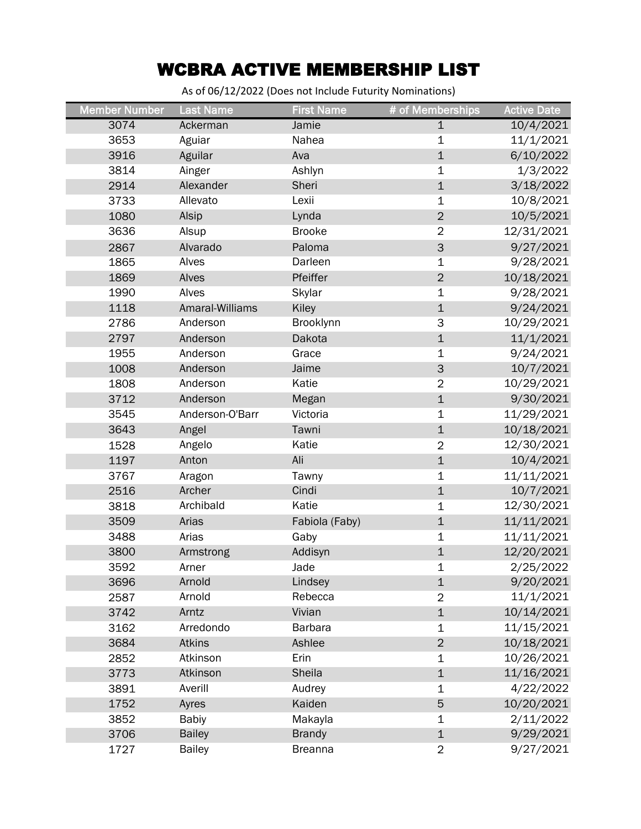## WCBRA ACTIVE MEMBERSHIP LIST

As of 06/12/2022 (Does not Include Futurity Nominations)

| <b>Member Number</b> | <b>Last Name</b> | <b>First Name</b> | # of Memberships | <b>Active Date</b> |
|----------------------|------------------|-------------------|------------------|--------------------|
| 3074                 | Ackerman         | Jamie             | $\mathbf 1$      | 10/4/2021          |
| 3653                 | Aguiar           | Nahea             | 1                | 11/1/2021          |
| 3916                 | Aguilar          | Ava               | $\mathbf{1}$     | 6/10/2022          |
| 3814                 | Ainger           | Ashlyn            | $\mathbf 1$      | 1/3/2022           |
| 2914                 | Alexander        | Sheri             | $\mathbf 1$      | 3/18/2022          |
| 3733                 | Allevato         | Lexii             | $\mathbf 1$      | 10/8/2021          |
| 1080                 | Alsip            | Lynda             | $\overline{2}$   | 10/5/2021          |
| 3636                 | Alsup            | <b>Brooke</b>     | $\overline{2}$   | 12/31/2021         |
| 2867                 | Alvarado         | Paloma            | 3                | 9/27/2021          |
| 1865                 | Alves            | Darleen           | $\mathbf 1$      | 9/28/2021          |
| 1869                 | Alves            | Pfeiffer          | $\overline{2}$   | 10/18/2021         |
| 1990                 | Alves            | Skylar            | $\mathbf 1$      | 9/28/2021          |
| 1118                 | Amaral-Williams  | Kiley             | $\mathbf 1$      | 9/24/2021          |
| 2786                 | Anderson         | Brooklynn         | 3                | 10/29/2021         |
| 2797                 | Anderson         | Dakota            | $\mathbf 1$      | 11/1/2021          |
| 1955                 | Anderson         | Grace             | 1                | 9/24/2021          |
| 1008                 | Anderson         | Jaime             | 3                | 10/7/2021          |
| 1808                 | Anderson         | Katie             | $\overline{2}$   | 10/29/2021         |
| 3712                 | Anderson         | Megan             | $\mathbf 1$      | 9/30/2021          |
| 3545                 | Anderson-O'Barr  | Victoria          | $\mathbf 1$      | 11/29/2021         |
| 3643                 | Angel            | Tawni             | $\mathbf 1$      | 10/18/2021         |
| 1528                 | Angelo           | Katie             | $\overline{2}$   | 12/30/2021         |
| 1197                 | Anton            | Ali               | $\mathbf 1$      | 10/4/2021          |
| 3767                 | Aragon           | Tawny             | $\mathbf 1$      | 11/11/2021         |
| 2516                 | Archer           | Cindi             | $\mathbf 1$      | 10/7/2021          |
| 3818                 | Archibald        | Katie             | $\mathbf 1$      | 12/30/2021         |
| 3509                 | Arias            | Fabiola (Faby)    | $\mathbf 1$      | 11/11/2021         |
| 3488                 | Arias            | Gaby              | $\mathbf 1$      | 11/11/2021         |
| 3800                 | Armstrong        | Addisyn           | $\mathbf 1$      | 12/20/2021         |
| 3592                 | Arner            | Jade              | 1                | 2/25/2022          |
| 3696                 | Arnold           | Lindsey           | $\mathbf 1$      | 9/20/2021          |
| 2587                 | Arnold           | Rebecca           | 2                | 11/1/2021          |
| 3742                 | Arntz            | Vivian            | $\mathbf 1$      | 10/14/2021         |
| 3162                 | Arredondo        | Barbara           | 1                | 11/15/2021         |
| 3684                 | Atkins           | Ashlee            | $\overline{2}$   | 10/18/2021         |
| 2852                 | Atkinson         | Erin              | $\mathbf 1$      | 10/26/2021         |
| 3773                 | Atkinson         | Sheila            | $\mathbf 1$      | 11/16/2021         |
| 3891                 | Averill          | Audrey            | $\mathbf 1$      | 4/22/2022          |
| 1752                 | Ayres            | Kaiden            | 5                | 10/20/2021         |
| 3852                 | <b>Babiy</b>     | Makayla           | $\mathbf 1$      | 2/11/2022          |
| 3706                 | <b>Bailey</b>    | <b>Brandy</b>     | $\mathbf 1$      | 9/29/2021          |
| 1727                 | <b>Bailey</b>    | <b>Breanna</b>    | $\overline{2}$   | 9/27/2021          |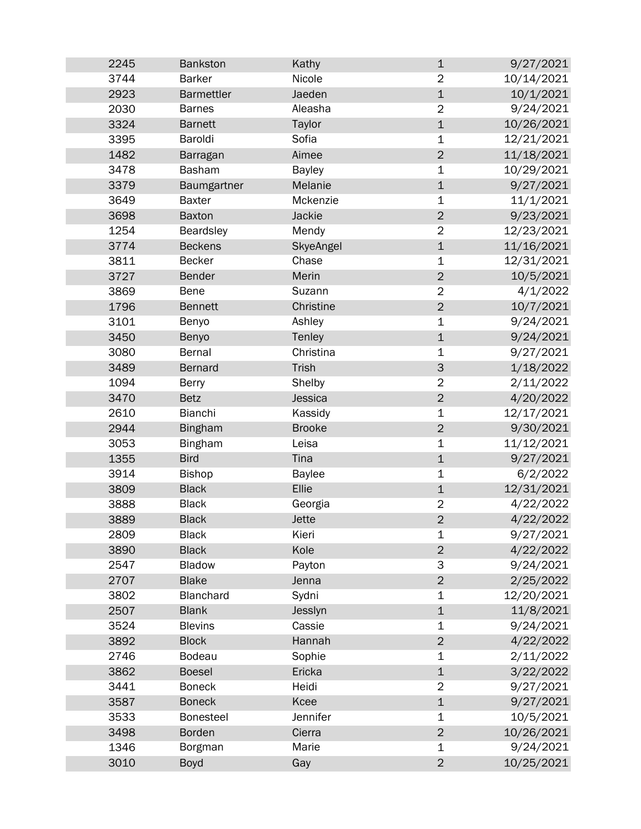| 2245 | <b>Bankston</b>   | Kathy         | $\mathbf 1$    | 9/27/2021  |
|------|-------------------|---------------|----------------|------------|
| 3744 | <b>Barker</b>     | Nicole        | $\overline{2}$ | 10/14/2021 |
| 2923 | <b>Barmettler</b> | Jaeden        | $\mathbf 1$    | 10/1/2021  |
| 2030 | <b>Barnes</b>     | Aleasha       | $\overline{2}$ | 9/24/2021  |
| 3324 | <b>Barnett</b>    | Taylor        | $\mathbf{1}$   | 10/26/2021 |
| 3395 | Baroldi           | Sofia         | $\mathbf 1$    | 12/21/2021 |
| 1482 | Barragan          | Aimee         | $\overline{2}$ | 11/18/2021 |
| 3478 | <b>Basham</b>     | <b>Bayley</b> | $\mathbf 1$    | 10/29/2021 |
| 3379 | Baumgartner       | Melanie       | $\mathbf 1$    | 9/27/2021  |
| 3649 | <b>Baxter</b>     | Mckenzie      | $\mathbf 1$    | 11/1/2021  |
| 3698 | <b>Baxton</b>     | Jackie        | $\overline{2}$ | 9/23/2021  |
| 1254 | Beardsley         | Mendy         | $\overline{2}$ | 12/23/2021 |
| 3774 | <b>Beckens</b>    | SkyeAngel     | $\mathbf 1$    | 11/16/2021 |
| 3811 | <b>Becker</b>     | Chase         | 1              | 12/31/2021 |
| 3727 | <b>Bender</b>     | Merin         | $\overline{2}$ | 10/5/2021  |
| 3869 | <b>Bene</b>       | Suzann        | $\overline{2}$ | 4/1/2022   |
| 1796 | <b>Bennett</b>    | Christine     | $\overline{2}$ | 10/7/2021  |
| 3101 | Benyo             | Ashley        | $\mathbf 1$    | 9/24/2021  |
| 3450 | Benyo             | Tenley        | $\mathbf 1$    | 9/24/2021  |
| 3080 | <b>Bernal</b>     | Christina     | $\mathbf 1$    | 9/27/2021  |
| 3489 | <b>Bernard</b>    | <b>Trish</b>  | $\mathsf 3$    | 1/18/2022  |
| 1094 | <b>Berry</b>      | Shelby        | $\overline{2}$ | 2/11/2022  |
| 3470 | <b>Betz</b>       | Jessica       | $\overline{2}$ | 4/20/2022  |
| 2610 | Bianchi           | Kassidy       | $\mathbf 1$    | 12/17/2021 |
| 2944 | <b>Bingham</b>    | <b>Brooke</b> | $\overline{2}$ | 9/30/2021  |
| 3053 | <b>Bingham</b>    | Leisa         | 1              | 11/12/2021 |
| 1355 | <b>Bird</b>       | Tina          | $\mathbf 1$    | 9/27/2021  |
| 3914 | <b>Bishop</b>     | <b>Baylee</b> | 1              | 6/2/2022   |
| 3809 | <b>Black</b>      | Ellie         | $\mathbf 1$    | 12/31/2021 |
| 3888 | <b>Black</b>      | Georgia       | $\overline{2}$ | 4/22/2022  |
| 3889 | <b>Black</b>      | <b>Jette</b>  | $\overline{2}$ | 4/22/2022  |
| 2809 | <b>Black</b>      | Kieri         | 1              | 9/27/2021  |
| 3890 | <b>Black</b>      | Kole          | $\overline{2}$ | 4/22/2022  |
| 2547 | Bladow            | Payton        | 3              | 9/24/2021  |
| 2707 | <b>Blake</b>      | Jenna         | $\overline{2}$ | 2/25/2022  |
| 3802 | Blanchard         | Sydni         | $\mathbf 1$    | 12/20/2021 |
| 2507 | <b>Blank</b>      | Jesslyn       | $\mathbf 1$    | 11/8/2021  |
| 3524 | <b>Blevins</b>    | Cassie        | 1              | 9/24/2021  |
| 3892 | <b>Block</b>      | Hannah        | $\mathbf 2$    | 4/22/2022  |
| 2746 | <b>Bodeau</b>     | Sophie        | 1              | 2/11/2022  |
| 3862 | <b>Boesel</b>     | Ericka        | $\mathbf 1$    | 3/22/2022  |
| 3441 | <b>Boneck</b>     | Heidi         | $\overline{2}$ | 9/27/2021  |
| 3587 | <b>Boneck</b>     | Kcee          | $\mathbf 1$    | 9/27/2021  |
| 3533 | <b>Bonesteel</b>  | Jennifer      | $\mathbf 1$    | 10/5/2021  |
| 3498 | <b>Borden</b>     | Cierra        | $\overline{2}$ | 10/26/2021 |
| 1346 | Borgman           | Marie         | $\mathbf 1$    | 9/24/2021  |
| 3010 | <b>Boyd</b>       | Gay           | $\overline{2}$ | 10/25/2021 |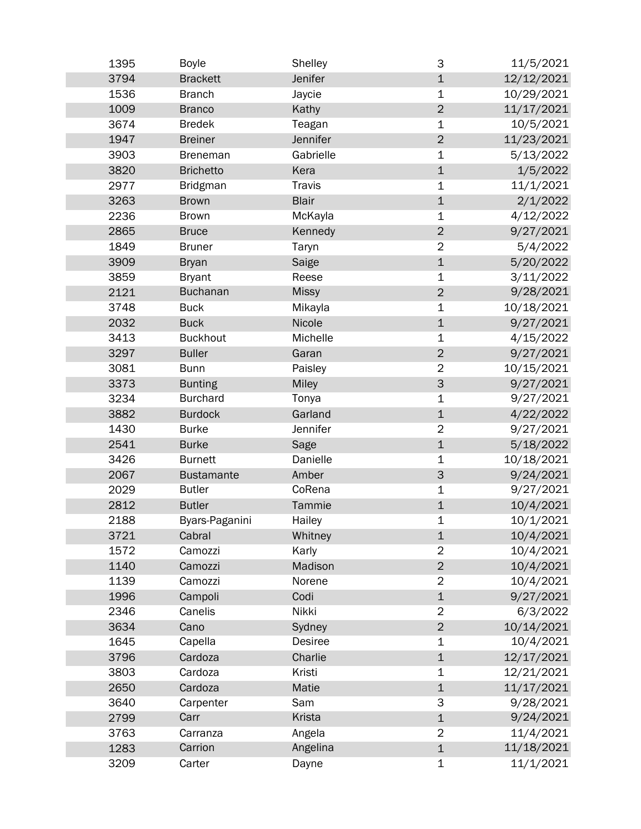| 1395 | <b>Boyle</b>      | Shelley       | 3                         | 11/5/2021  |
|------|-------------------|---------------|---------------------------|------------|
| 3794 | <b>Brackett</b>   | Jenifer       | $\mathbf 1$               | 12/12/2021 |
| 1536 | <b>Branch</b>     | Jaycie        | $\mathbf 1$               | 10/29/2021 |
| 1009 | <b>Branco</b>     | Kathy         | $\overline{2}$            | 11/17/2021 |
| 3674 | <b>Bredek</b>     | Teagan        | $\mathbf 1$               | 10/5/2021  |
| 1947 | <b>Breiner</b>    | Jennifer      | $\overline{2}$            | 11/23/2021 |
| 3903 | <b>Breneman</b>   | Gabrielle     | $\mathbf 1$               | 5/13/2022  |
| 3820 | <b>Brichetto</b>  | Kera          | $\mathbf 1$               | 1/5/2022   |
| 2977 | <b>Bridgman</b>   | <b>Travis</b> | 1                         | 11/1/2021  |
| 3263 | <b>Brown</b>      | <b>Blair</b>  | $\mathbf 1$               | 2/1/2022   |
| 2236 | <b>Brown</b>      | McKayla       | 1                         | 4/12/2022  |
| 2865 | <b>Bruce</b>      | Kennedy       | $\overline{2}$            | 9/27/2021  |
| 1849 | <b>Bruner</b>     | Taryn         | $\overline{2}$            | 5/4/2022   |
| 3909 | <b>Bryan</b>      | Saige         | $\mathbf{1}$              | 5/20/2022  |
| 3859 | <b>Bryant</b>     | Reese         | $\mathbf 1$               | 3/11/2022  |
| 2121 | <b>Buchanan</b>   | <b>Missy</b>  | $\overline{2}$            | 9/28/2021  |
| 3748 | <b>Buck</b>       | Mikayla       | $\mathbf 1$               | 10/18/2021 |
| 2032 | <b>Buck</b>       | Nicole        | $\mathbf 1$               | 9/27/2021  |
| 3413 | <b>Buckhout</b>   | Michelle      | $\mathbf 1$               | 4/15/2022  |
| 3297 | <b>Buller</b>     | Garan         | $\overline{2}$            | 9/27/2021  |
| 3081 | <b>Bunn</b>       | Paisley       | $\overline{2}$            | 10/15/2021 |
| 3373 | <b>Bunting</b>    | <b>Miley</b>  | $\ensuremath{\mathsf{3}}$ | 9/27/2021  |
| 3234 | <b>Burchard</b>   | Tonya         | 1                         | 9/27/2021  |
| 3882 | <b>Burdock</b>    | Garland       | $\mathbf 1$               | 4/22/2022  |
| 1430 | <b>Burke</b>      | Jennifer      | $\overline{2}$            | 9/27/2021  |
| 2541 | <b>Burke</b>      | Sage          | $\mathbf 1$               | 5/18/2022  |
| 3426 | <b>Burnett</b>    | Danielle      | $\mathbf 1$               | 10/18/2021 |
| 2067 | <b>Bustamante</b> | Amber         | $\mathsf 3$               | 9/24/2021  |
| 2029 | <b>Butler</b>     | CoRena        | $\mathbf 1$               | 9/27/2021  |
| 2812 | <b>Butler</b>     | Tammie        | $\mathbf 1$               | 10/4/2021  |
| 2188 | Byars-Paganini    | Hailey        | 1                         | 10/1/2021  |
| 3721 | Cabral            | Whitney       | $\mathbf 1$               | 10/4/2021  |
| 1572 | Camozzi           | Karly         | $\overline{2}$            | 10/4/2021  |
| 1140 | Camozzi           | Madison       | $\mathbf 2$               | 10/4/2021  |
| 1139 | Camozzi           | Norene        | $\overline{2}$            | 10/4/2021  |
| 1996 | Campoli           | Codi          | $\mathbf 1$               | 9/27/2021  |
| 2346 | Canelis           | Nikki         | $\overline{2}$            | 6/3/2022   |
| 3634 | Cano              | Sydney        | $\mathbf 2$               | 10/14/2021 |
| 1645 | Capella           | Desiree       | 1                         | 10/4/2021  |
| 3796 | Cardoza           | Charlie       | $\mathbf 1$               | 12/17/2021 |
| 3803 | Cardoza           | Kristi        | $\mathbf 1$               | 12/21/2021 |
| 2650 | Cardoza           | Matie         | $\mathbf 1$               | 11/17/2021 |
| 3640 | Carpenter         | Sam           | 3                         | 9/28/2021  |
| 2799 | Carr              | <b>Krista</b> | $\mathbf 1$               | 9/24/2021  |
| 3763 | Carranza          | Angela        | $\overline{2}$            | 11/4/2021  |
| 1283 | Carrion           | Angelina      | $\mathbf 1$               | 11/18/2021 |
| 3209 | Carter            | Dayne         | $\mathbf 1$               | 11/1/2021  |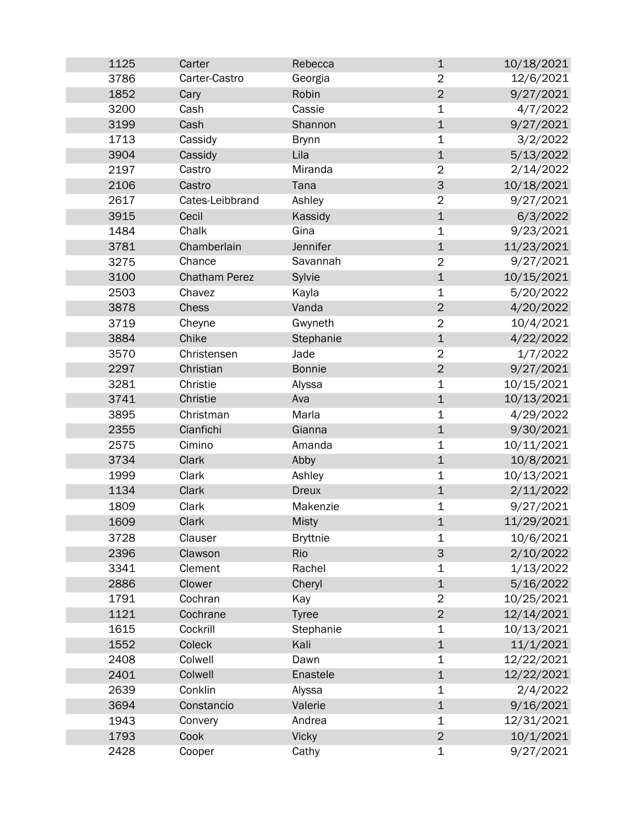| 1125 | Carter               | Rebecca         | $\mathbf 1$    | 10/18/2021 |
|------|----------------------|-----------------|----------------|------------|
| 3786 | Carter-Castro        | Georgia         | $\overline{2}$ | 12/6/2021  |
| 1852 | Cary                 | Robin           | $\overline{2}$ | 9/27/2021  |
| 3200 | Cash                 | Cassie          | 1              | 4/7/2022   |
| 3199 | Cash                 | Shannon         | $\mathbf 1$    | 9/27/2021  |
| 1713 | Cassidy              | <b>Brynn</b>    | $\mathbf 1$    | 3/2/2022   |
| 3904 | Cassidy              | Lila            | $\mathbf 1$    | 5/13/2022  |
| 2197 | Castro               | Miranda         | $\overline{2}$ | 2/14/2022  |
| 2106 | Castro               | Tana            | $\mathsf 3$    | 10/18/2021 |
| 2617 | Cates-Leibbrand      | Ashley          | $\overline{2}$ | 9/27/2021  |
| 3915 | Cecil                | Kassidy         | $\mathbf 1$    | 6/3/2022   |
| 1484 | Chalk                | Gina            | $\mathbf 1$    | 9/23/2021  |
| 3781 | Chamberlain          | Jennifer        | $\mathbf 1$    | 11/23/2021 |
| 3275 | Chance               | Savannah        | $\overline{2}$ | 9/27/2021  |
| 3100 | <b>Chatham Perez</b> | Sylvie          | $\mathbf 1$    | 10/15/2021 |
| 2503 | Chavez               | Kayla           | 1              | 5/20/2022  |
| 3878 | Chess                | Vanda           | $\mathbf 2$    | 4/20/2022  |
| 3719 | Cheyne               | Gwyneth         | $\overline{2}$ | 10/4/2021  |
| 3884 | Chike                | Stephanie       | $\mathbf 1$    | 4/22/2022  |
| 3570 | Christensen          | Jade            | $\overline{2}$ | 1/7/2022   |
| 2297 | Christian            | <b>Bonnie</b>   | $\overline{2}$ | 9/27/2021  |
| 3281 | Christie             | Alyssa          | $\mathbf 1$    | 10/15/2021 |
| 3741 | Christie             | Ava             | $\mathbf 1$    | 10/13/2021 |
| 3895 | Christman            | Marla           | $\mathbf 1$    | 4/29/2022  |
| 2355 | Cianfichi            | Gianna          | $\mathbf 1$    | 9/30/2021  |
| 2575 | Cimino               | Amanda          | $\mathbf 1$    | 10/11/2021 |
| 3734 | Clark                | Abby            | $\mathbf 1$    | 10/8/2021  |
| 1999 | Clark                | Ashley          | 1              | 10/13/2021 |
| 1134 | Clark                | <b>Dreux</b>    | $\mathbf 1$    | 2/11/2022  |
| 1809 | Clark                | Makenzie        | 1              | 9/27/2021  |
| 1609 | Clark                | <b>Misty</b>    | $\mathbf 1$    | 11/29/2021 |
| 3728 | Clauser              | <b>Bryttnie</b> | 1              | 10/6/2021  |
| 2396 | Clawson              | Rio             | $\mathsf 3$    | 2/10/2022  |
| 3341 | Clement              | Rachel          | 1              | 1/13/2022  |
| 2886 | Clower               | Cheryl          | $\mathbf 1$    | 5/16/2022  |
| 1791 | Cochran              | Kay             | $\overline{2}$ | 10/25/2021 |
| 1121 | Cochrane             | <b>Tyree</b>    | $\overline{2}$ | 12/14/2021 |
| 1615 | Cockrill             | Stephanie       | $\mathbf 1$    | 10/13/2021 |
| 1552 | Coleck               | Kali            | $\mathbf 1$    | 11/1/2021  |
| 2408 | Colwell              | Dawn            | $\mathbf 1$    | 12/22/2021 |
| 2401 | Colwell              | Enastele        | $\mathbf 1$    | 12/22/2021 |
| 2639 | Conklin              | Alyssa          | $\mathbf 1$    | 2/4/2022   |
| 3694 | Constancio           | Valerie         | $\mathbf 1$    | 9/16/2021  |
| 1943 | Convery              | Andrea          | $\mathbf 1$    | 12/31/2021 |
| 1793 | Cook                 | <b>Vicky</b>    | $\mathbf 2$    | 10/1/2021  |
| 2428 | Cooper               | Cathy           | 1              | 9/27/2021  |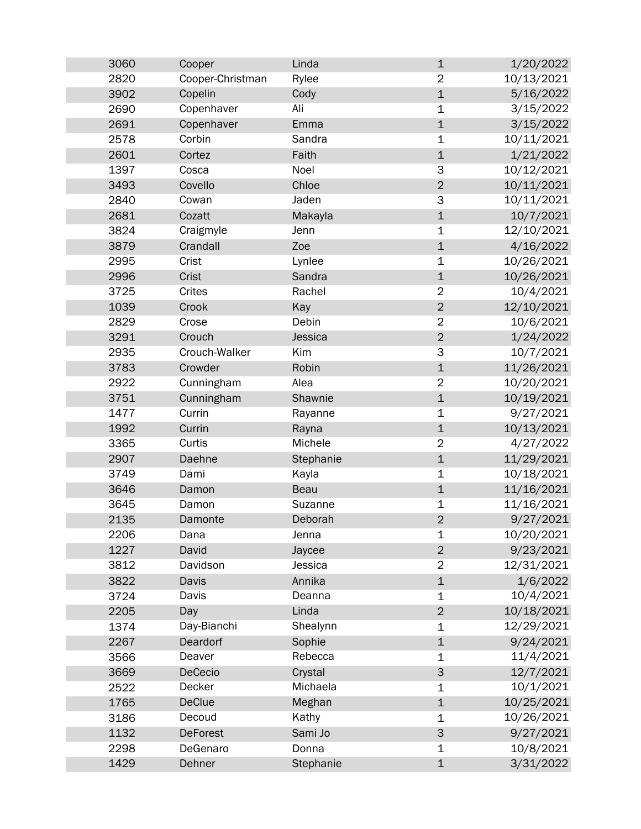| 3060 | Cooper           | Linda       | $\mathbf 1$    | 1/20/2022  |
|------|------------------|-------------|----------------|------------|
| 2820 | Cooper-Christman | Rylee       | $\overline{2}$ | 10/13/2021 |
| 3902 | Copelin          | Cody        | $\mathbf 1$    | 5/16/2022  |
| 2690 | Copenhaver       | Ali         | $\mathbf 1$    | 3/15/2022  |
| 2691 | Copenhaver       | Emma        | $\mathbf{1}$   | 3/15/2022  |
| 2578 | Corbin           | Sandra      | $\mathbf 1$    | 10/11/2021 |
| 2601 | Cortez           | Faith       | $\mathbf 1$    | 1/21/2022  |
| 1397 | Cosca            | Noel        | 3              | 10/12/2021 |
| 3493 | Covello          | Chloe       | $\overline{2}$ | 10/11/2021 |
| 2840 | Cowan            | Jaden       | 3              | 10/11/2021 |
| 2681 | Cozatt           | Makayla     | $\mathbf{1}$   | 10/7/2021  |
| 3824 | Craigmyle        | Jenn        | $\mathbf 1$    | 12/10/2021 |
| 3879 | Crandall         | Zoe         | $\mathbf 1$    | 4/16/2022  |
| 2995 | Crist            | Lynlee      | $\mathbf 1$    | 10/26/2021 |
| 2996 | <b>Crist</b>     | Sandra      | $\mathbf 1$    | 10/26/2021 |
| 3725 | Crites           | Rachel      | $\overline{2}$ | 10/4/2021  |
| 1039 | Crook            | Kay         | $\overline{2}$ | 12/10/2021 |
| 2829 | Crose            | Debin       | $\overline{2}$ | 10/6/2021  |
| 3291 | Crouch           | Jessica     | $\overline{2}$ | 1/24/2022  |
| 2935 | Crouch-Walker    | Kim         | 3              | 10/7/2021  |
| 3783 | Crowder          | Robin       | $\mathbf 1$    | 11/26/2021 |
| 2922 | Cunningham       | Alea        | $\overline{2}$ | 10/20/2021 |
| 3751 | Cunningham       | Shawnie     | $\mathbf{1}$   | 10/19/2021 |
| 1477 | Currin           | Rayanne     | $\mathbf 1$    | 9/27/2021  |
| 1992 | Currin           | Rayna       | $\mathbf 1$    | 10/13/2021 |
| 3365 | Curtis           | Michele     | $\overline{2}$ | 4/27/2022  |
| 2907 | Daehne           | Stephanie   | $\mathbf 1$    | 11/29/2021 |
| 3749 | Dami             | Kayla       | $\mathbf 1$    | 10/18/2021 |
| 3646 | Damon            | <b>Beau</b> | $\mathbf{1}$   | 11/16/2021 |
| 3645 | Damon            | Suzanne     | $\mathbf 1$    | 11/16/2021 |
| 2135 | Damonte          | Deborah     | $\overline{2}$ | 9/27/2021  |
| 2206 | Dana             | Jenna       | $\mathbf 1$    | 10/20/2021 |
| 1227 | David            | Jaycee      | $\overline{2}$ | 9/23/2021  |
| 3812 | Davidson         | Jessica     | $\overline{2}$ | 12/31/2021 |
| 3822 | Davis            | Annika      | $\mathbf{1}$   | 1/6/2022   |
| 3724 | Davis            | Deanna      | $\mathbf 1$    | 10/4/2021  |
| 2205 | Day              | Linda       | $\overline{2}$ | 10/18/2021 |
| 1374 | Day-Bianchi      | Shealynn    | $\mathbf 1$    | 12/29/2021 |
| 2267 | Deardorf         | Sophie      | $\mathbf 1$    | 9/24/2021  |
| 3566 | Deaver           | Rebecca     | 1              | 11/4/2021  |
| 3669 | DeCecio          | Crystal     | $\mathsf 3$    | 12/7/2021  |
| 2522 | Decker           | Michaela    | 1              | 10/1/2021  |
| 1765 | <b>DeClue</b>    | Meghan      | $\mathbf 1$    | 10/25/2021 |
| 3186 | Decoud           | Kathy       | $\mathbf 1$    | 10/26/2021 |
| 1132 | <b>DeForest</b>  | Sami Jo     | 3              | 9/27/2021  |
| 2298 | DeGenaro         | Donna       | 1              | 10/8/2021  |
| 1429 | Dehner           | Stephanie   | $\mathbf 1$    | 3/31/2022  |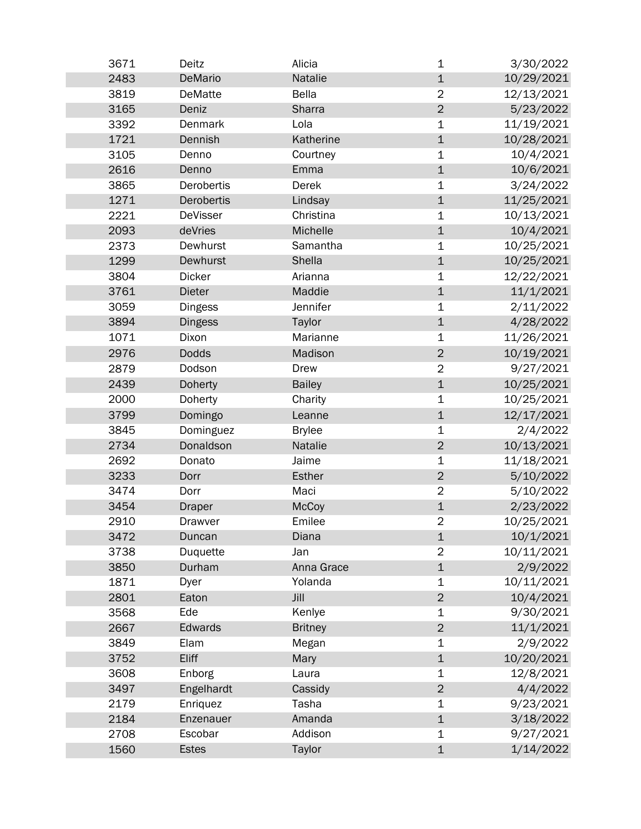| 3671 | Deitz           | Alicia         | 1                       | 3/30/2022  |
|------|-----------------|----------------|-------------------------|------------|
| 2483 | DeMario         | Natalie        | $\mathbf 1$             | 10/29/2021 |
| 3819 | <b>DeMatte</b>  | <b>Bella</b>   | $\overline{2}$          | 12/13/2021 |
| 3165 | Deniz           | Sharra         | $\overline{2}$          | 5/23/2022  |
| 3392 | Denmark         | Lola           | $\mathbf 1$             | 11/19/2021 |
| 1721 | Dennish         | Katherine      | $\mathbf 1$             | 10/28/2021 |
| 3105 | Denno           | Courtney       | 1                       | 10/4/2021  |
| 2616 | Denno           | Emma           | $\mathbf 1$             | 10/6/2021  |
| 3865 | Derobertis      | Derek          | 1                       | 3/24/2022  |
| 1271 | Derobertis      | Lindsay        | $\mathbf 1$             | 11/25/2021 |
| 2221 | <b>DeVisser</b> | Christina      | $\mathbf 1$             | 10/13/2021 |
| 2093 | deVries         | Michelle       | $\mathbf 1$             | 10/4/2021  |
| 2373 | Dewhurst        | Samantha       | $\mathbf 1$             | 10/25/2021 |
| 1299 | Dewhurst        | Shella         | $\mathbf 1$             | 10/25/2021 |
| 3804 | <b>Dicker</b>   | Arianna        | $\mathbf 1$             | 12/22/2021 |
| 3761 | <b>Dieter</b>   | Maddie         | $\mathbf 1$             | 11/1/2021  |
| 3059 | <b>Dingess</b>  | Jennifer       | $\mathbf 1$             | 2/11/2022  |
| 3894 | <b>Dingess</b>  | Taylor         | $\mathbf 1$             | 4/28/2022  |
| 1071 | Dixon           | Marianne       | $\mathbf 1$             | 11/26/2021 |
| 2976 | <b>Dodds</b>    | Madison        | $\overline{2}$          | 10/19/2021 |
| 2879 | Dodson          | Drew           | $\overline{2}$          | 9/27/2021  |
| 2439 | <b>Doherty</b>  | <b>Bailey</b>  | $\mathbf 1$             | 10/25/2021 |
| 2000 | Doherty         | Charity        | 1                       | 10/25/2021 |
| 3799 | Domingo         | Leanne         | $\mathbf 1$             | 12/17/2021 |
| 3845 | Dominguez       | <b>Brylee</b>  | 1                       | 2/4/2022   |
| 2734 | Donaldson       | Natalie        | $\overline{2}$          | 10/13/2021 |
| 2692 | Donato          | Jaime          | $\mathbf 1$             | 11/18/2021 |
| 3233 | Dorr            | <b>Esther</b>  | $\overline{2}$          | 5/10/2022  |
| 3474 | Dorr            | Maci           | $\overline{2}$          | 5/10/2022  |
| 3454 | <b>Draper</b>   | <b>McCoy</b>   | $\mathbf 1$             | 2/23/2022  |
| 2910 | Drawver         | Emilee         | $\overline{\mathbf{c}}$ | 10/25/2021 |
| 3472 | Duncan          | Diana          | $\mathbf 1$             | 10/1/2021  |
| 3738 | Duquette        | Jan            | $\overline{2}$          | 10/11/2021 |
| 3850 | Durham          | Anna Grace     | $\mathbf 1$             | 2/9/2022   |
| 1871 | Dyer            | Yolanda        | $\mathbf 1$             | 10/11/2021 |
| 2801 | Eaton           | Jill           | $\overline{2}$          | 10/4/2021  |
| 3568 | Ede             | Kenlye         | 1                       | 9/30/2021  |
| 2667 | Edwards         | <b>Britney</b> | $\overline{2}$          | 11/1/2021  |
| 3849 | Elam            | Megan          | $\mathbf 1$             | 2/9/2022   |
| 3752 | Eliff           | Mary           | $\mathbf 1$             | 10/20/2021 |
| 3608 | Enborg          | Laura          | 1                       | 12/8/2021  |
| 3497 | Engelhardt      | Cassidy        | $\overline{2}$          | 4/4/2022   |
| 2179 | Enriquez        | Tasha          | 1                       | 9/23/2021  |
| 2184 | Enzenauer       | Amanda         | $\mathbf 1$             | 3/18/2022  |
| 2708 | Escobar         | Addison        | 1                       | 9/27/2021  |
| 1560 | <b>Estes</b>    | Taylor         | $\mathbf 1$             | 1/14/2022  |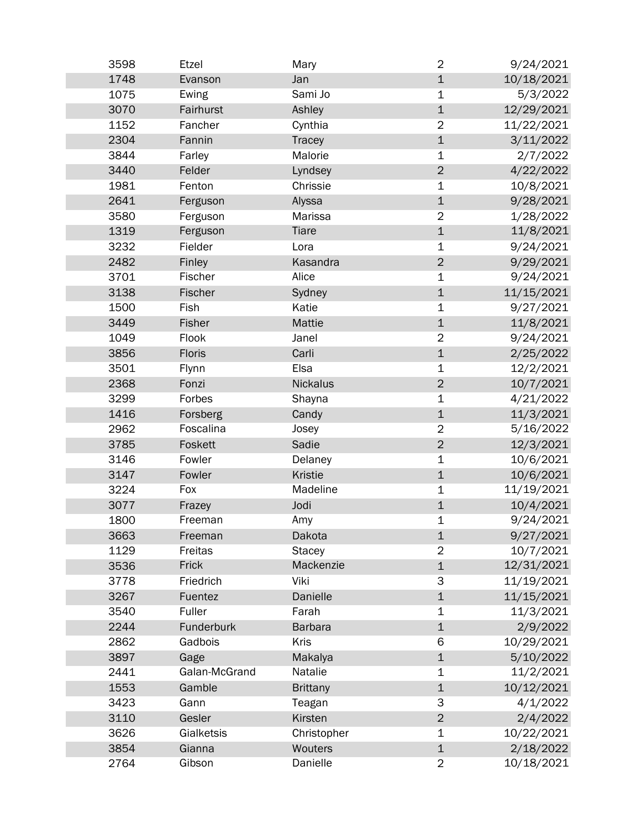| 3598 | Etzel         | Mary            | $\overline{2}$ | 9/24/2021  |
|------|---------------|-----------------|----------------|------------|
| 1748 | Evanson       | Jan             | $\mathbf 1$    | 10/18/2021 |
| 1075 | Ewing         | Sami Jo         | 1              | 5/3/2022   |
| 3070 | Fairhurst     | Ashley          | $\mathbf 1$    | 12/29/2021 |
| 1152 | Fancher       | Cynthia         | $\overline{2}$ | 11/22/2021 |
| 2304 | Fannin        | Tracey          | $\mathbf 1$    | 3/11/2022  |
| 3844 | Farley        | Malorie         | $\mathbf 1$    | 2/7/2022   |
| 3440 | Felder        | Lyndsey         | $\overline{2}$ | 4/22/2022  |
| 1981 | Fenton        | Chrissie        | 1              | 10/8/2021  |
| 2641 | Ferguson      | Alyssa          | $\mathbf 1$    | 9/28/2021  |
| 3580 | Ferguson      | Marissa         | $\overline{2}$ | 1/28/2022  |
| 1319 | Ferguson      | <b>Tiare</b>    | $\mathbf 1$    | 11/8/2021  |
| 3232 | Fielder       | Lora            | $\mathbf 1$    | 9/24/2021  |
| 2482 | Finley        | Kasandra        | $\overline{2}$ | 9/29/2021  |
| 3701 | Fischer       | Alice           | $\mathbf 1$    | 9/24/2021  |
| 3138 | Fischer       | Sydney          | $\mathbf 1$    | 11/15/2021 |
| 1500 | Fish          | Katie           | $\mathbf 1$    | 9/27/2021  |
| 3449 | Fisher        | Mattie          | $\mathbf 1$    | 11/8/2021  |
| 1049 | Flook         | Janel           | $\overline{2}$ | 9/24/2021  |
| 3856 | <b>Floris</b> | Carli           | $\mathbf 1$    | 2/25/2022  |
| 3501 | Flynn         | Elsa            | $\mathbf 1$    | 12/2/2021  |
| 2368 | Fonzi         | <b>Nickalus</b> | $\overline{2}$ | 10/7/2021  |
| 3299 | Forbes        | Shayna          | $\mathbf 1$    | 4/21/2022  |
| 1416 | Forsberg      | Candy           | $\mathbf 1$    | 11/3/2021  |
| 2962 | Foscalina     | Josey           | $\overline{2}$ | 5/16/2022  |
| 3785 | Foskett       | Sadie           | $\overline{2}$ | 12/3/2021  |
| 3146 | Fowler        | Delaney         | $\mathbf 1$    | 10/6/2021  |
| 3147 | Fowler        | <b>Kristie</b>  | $\mathbf 1$    | 10/6/2021  |
| 3224 | Fox           | Madeline        | $\mathbf 1$    | 11/19/2021 |
| 3077 | Frazey        | Jodi            | $\mathbf 1$    | 10/4/2021  |
| 1800 | Freeman       | Amy             | 1              | 9/24/2021  |
| 3663 | Freeman       | Dakota          | $\mathbf 1$    | 9/27/2021  |
| 1129 | Freitas       | <b>Stacey</b>   | $\overline{2}$ | 10/7/2021  |
| 3536 | Frick         | Mackenzie       | $\mathbf 1$    | 12/31/2021 |
| 3778 | Friedrich     | Viki            | 3              | 11/19/2021 |
| 3267 | Fuentez       | Danielle        | $\mathbf 1$    | 11/15/2021 |
| 3540 | Fuller        | Farah           | $\mathbf 1$    | 11/3/2021  |
| 2244 | Funderburk    | <b>Barbara</b>  | $\mathbf 1$    | 2/9/2022   |
| 2862 | Gadbois       | Kris            | 6              | 10/29/2021 |
| 3897 | Gage          | Makalya         | $\mathbf 1$    | 5/10/2022  |
| 2441 | Galan-McGrand | Natalie         | $\mathbf 1$    | 11/2/2021  |
| 1553 | Gamble        | <b>Brittany</b> | $\mathbf 1$    | 10/12/2021 |
| 3423 | Gann          | Teagan          | 3              | 4/1/2022   |
| 3110 | Gesler        | Kirsten         | $\mathbf 2$    | 2/4/2022   |
| 3626 | Gialketsis    | Christopher     | 1              | 10/22/2021 |
| 3854 | Gianna        | Wouters         | $\mathbf 1$    | 2/18/2022  |
| 2764 | Gibson        | Danielle        | $\overline{2}$ | 10/18/2021 |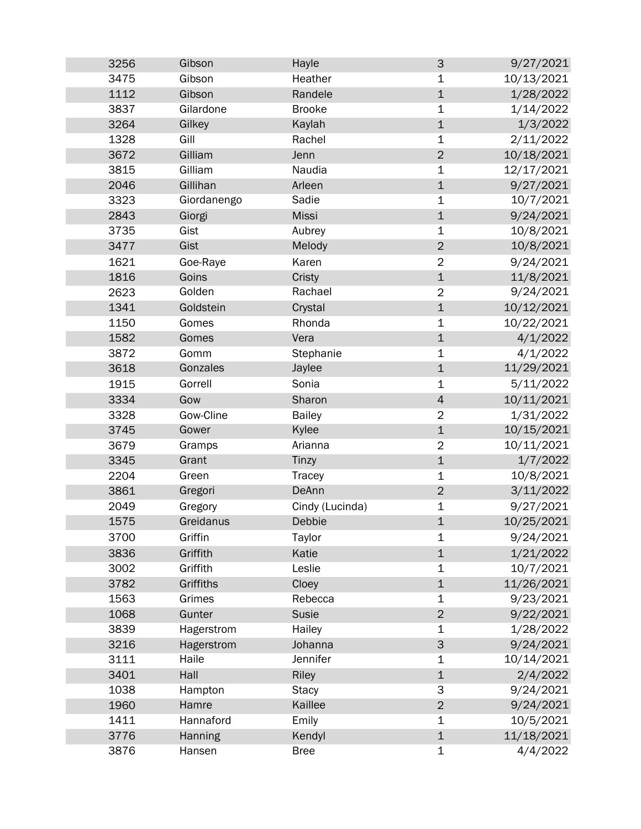| 3256         | Gibson          | Hayle            | $\mathsf 3$    | 9/27/2021                |
|--------------|-----------------|------------------|----------------|--------------------------|
| 3475         | Gibson          | Heather          | 1              | 10/13/2021               |
| 1112         | Gibson          | Randele          | $\mathbf 1$    | 1/28/2022                |
| 3837         | Gilardone       | <b>Brooke</b>    | 1              | 1/14/2022                |
| 3264         | Gilkey          | Kaylah           | $\mathbf 1$    | 1/3/2022                 |
| 1328         | Gill            | Rachel           | 1              | 2/11/2022                |
| 3672         | Gilliam         | Jenn             | $\overline{2}$ | 10/18/2021               |
| 3815         | Gilliam         | Naudia           | $\mathbf 1$    | 12/17/2021               |
| 2046         | Gillihan        | Arleen           | $\mathbf 1$    | 9/27/2021                |
| 3323         | Giordanengo     | Sadie            | $\mathbf 1$    | 10/7/2021                |
| 2843         | Giorgi          | <b>Missi</b>     | $\mathbf 1$    | 9/24/2021                |
| 3735         | Gist            | Aubrey           | $\mathbf 1$    | 10/8/2021                |
| 3477         | Gist            | Melody           | $\overline{2}$ | 10/8/2021                |
| 1621         | Goe-Raye        | Karen            | $\overline{2}$ | 9/24/2021                |
| 1816         | Goins           | Cristy           | $\mathbf 1$    | 11/8/2021                |
| 2623         | Golden          | Rachael          | $\overline{2}$ | 9/24/2021                |
| 1341         | Goldstein       | Crystal          | $\mathbf 1$    | 10/12/2021               |
| 1150         | Gomes           | Rhonda           | 1              | 10/22/2021               |
| 1582         | Gomes           | Vera             | $\mathbf 1$    | 4/1/2022                 |
| 3872         | Gomm            | Stephanie        | $\mathbf 1$    | 4/1/2022                 |
| 3618         | Gonzales        | Jaylee           | $\mathbf 1$    | 11/29/2021               |
| 1915         | Gorrell         | Sonia            | $\mathbf 1$    | 5/11/2022                |
| 3334         | Gow             | Sharon           | $\overline{4}$ | 10/11/2021               |
|              | Gow-Cline       |                  | $\overline{2}$ | 1/31/2022                |
| 3328<br>3745 | Gower           | <b>Bailey</b>    | $\mathbf 1$    |                          |
|              |                 | Kylee<br>Arianna |                | 10/15/2021<br>10/11/2021 |
| 3679         | Gramps<br>Grant | Tinzy            | $\overline{2}$ | 1/7/2022                 |
| 3345         | Green           |                  | $\mathbf 1$    | 10/8/2021                |
| 2204         |                 | Tracey<br>DeAnn  | $\mathbf 1$    |                          |
| 3861<br>2049 | Gregori         |                  | $\mathbf 2$    | 3/11/2022                |
|              | Gregory         | Cindy (Lucinda)  | 1              | 9/27/2021                |
| 1575         | Greidanus       | Debbie           | $\mathbf 1$    | 10/25/2021               |
| 3700         | Griffin         | Taylor           | $\mathbf 1$    | 9/24/2021                |
| 3836         | Griffith        | Katie            | $\mathbf 1$    | 1/21/2022                |
| 3002         | Griffith        | Leslie           | 1              | 10/7/2021                |
| 3782         | Griffiths       | Cloey            | $\mathbf 1$    | 11/26/2021               |
| 1563         | Grimes          | Rebecca          | 1              | 9/23/2021                |
| 1068         | Gunter          | Susie            | $\overline{c}$ | 9/22/2021                |
| 3839         | Hagerstrom      | Hailey           | 1              | 1/28/2022                |
| 3216         | Hagerstrom      | Johanna          | $\mathsf{3}$   | 9/24/2021                |
| 3111         | Haile           | Jennifer         | $\mathbf 1$    | 10/14/2021               |
| 3401         | Hall            | <b>Riley</b>     | $\mathbf 1$    | 2/4/2022                 |
| 1038         | Hampton         | <b>Stacy</b>     | 3              | 9/24/2021                |
| 1960         | Hamre           | Kaillee          | $\overline{2}$ | 9/24/2021                |
| 1411         | Hannaford       | Emily            | $\mathbf 1$    | 10/5/2021                |
| 3776         | Hanning         | Kendyl           | $\mathbf 1$    | 11/18/2021               |
| 3876         | Hansen          | <b>Bree</b>      | 1              | 4/4/2022                 |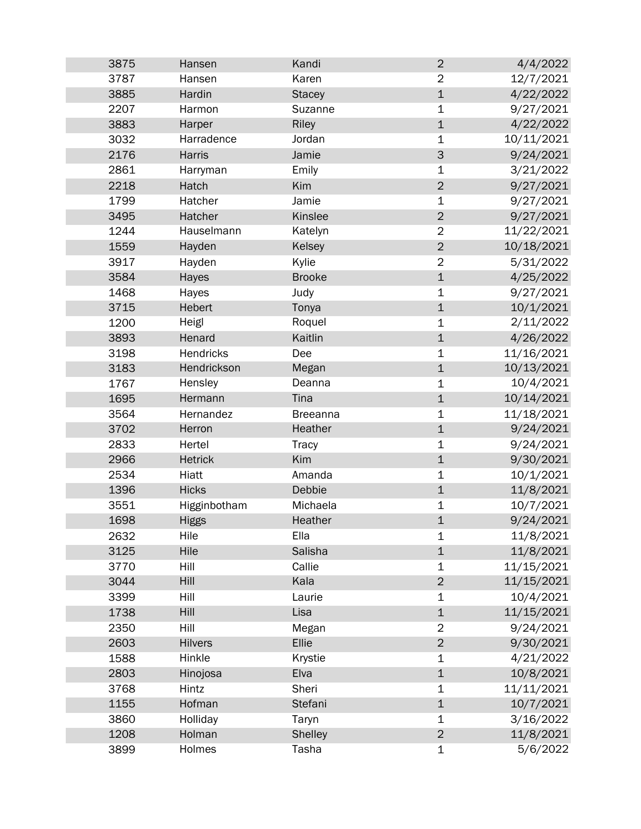| 3875 | Hansen         | Kandi           | $\overline{2}$ | 4/4/2022   |
|------|----------------|-----------------|----------------|------------|
| 3787 | Hansen         | Karen           | $\overline{2}$ | 12/7/2021  |
| 3885 | Hardin         | <b>Stacey</b>   | $\mathbf 1$    | 4/22/2022  |
| 2207 | Harmon         | Suzanne         | $\mathbf 1$    | 9/27/2021  |
| 3883 | Harper         | Riley           | $\mathbf{1}$   | 4/22/2022  |
| 3032 | Harradence     | Jordan          | $\mathbf 1$    | 10/11/2021 |
| 2176 | Harris         | Jamie           | 3              | 9/24/2021  |
| 2861 | Harryman       | Emily           | $\mathbf 1$    | 3/21/2022  |
| 2218 | Hatch          | Kim             | $\overline{2}$ | 9/27/2021  |
| 1799 | Hatcher        | Jamie           | $\mathbf 1$    | 9/27/2021  |
| 3495 | Hatcher        | Kinslee         | $\overline{2}$ | 9/27/2021  |
| 1244 | Hauselmann     | Katelyn         | $\overline{2}$ | 11/22/2021 |
| 1559 | Hayden         | Kelsey          | $\overline{2}$ | 10/18/2021 |
| 3917 | Hayden         | Kylie           | $\overline{2}$ | 5/31/2022  |
| 3584 | Hayes          | <b>Brooke</b>   | $\mathbf 1$    | 4/25/2022  |
| 1468 | Hayes          | Judy            | $\mathbf 1$    | 9/27/2021  |
| 3715 | Hebert         | Tonya           | $\mathbf 1$    | 10/1/2021  |
| 1200 | Heigl          | Roquel          | $\mathbf 1$    | 2/11/2022  |
| 3893 | Henard         | Kaitlin         | $\mathbf{1}$   | 4/26/2022  |
| 3198 | Hendricks      | Dee             | 1              | 11/16/2021 |
| 3183 | Hendrickson    | Megan           | $\mathbf 1$    | 10/13/2021 |
| 1767 | Hensley        | Deanna          | $\mathbf 1$    | 10/4/2021  |
| 1695 | Hermann        | Tina            | $\mathbf 1$    | 10/14/2021 |
| 3564 | Hernandez      | <b>Breeanna</b> | $\mathbf 1$    | 11/18/2021 |
| 3702 | Herron         | Heather         | $\mathbf 1$    | 9/24/2021  |
| 2833 | Hertel         | <b>Tracy</b>    | $\mathbf 1$    | 9/24/2021  |
| 2966 | <b>Hetrick</b> | Kim             | $\mathbf 1$    | 9/30/2021  |
| 2534 | Hiatt          | Amanda          | 1              | 10/1/2021  |
| 1396 | <b>Hicks</b>   | Debbie          | $\mathbf 1$    | 11/8/2021  |
| 3551 | Higginbotham   | Michaela        | 1              | 10/7/2021  |
| 1698 | Higgs          | Heather         | $\overline{1}$ | 9/24/2021  |
| 2632 | Hile           | Ella            | 1              | 11/8/2021  |
| 3125 | Hile           | Salisha         | $\mathbf 1$    | 11/8/2021  |
| 3770 | Hill           | Callie          | $\mathbf 1$    | 11/15/2021 |
| 3044 | Hill           | Kala            | $\overline{2}$ | 11/15/2021 |
| 3399 | Hill           | Laurie          | $\mathbf 1$    | 10/4/2021  |
| 1738 | Hill           | Lisa            | $\mathbf 1$    | 11/15/2021 |
| 2350 | Hill           | Megan           | $\overline{2}$ | 9/24/2021  |
| 2603 | <b>Hilvers</b> | Ellie           | $\overline{2}$ | 9/30/2021  |
| 1588 | Hinkle         | Krystie         | 1              | 4/21/2022  |
| 2803 | Hinojosa       | Elva            | $\mathbf 1$    | 10/8/2021  |
| 3768 | Hintz          | Sheri           | 1              | 11/11/2021 |
| 1155 | Hofman         | Stefani         | $\mathbf 1$    | 10/7/2021  |
| 3860 | Holliday       | Taryn           | 1              | 3/16/2022  |
| 1208 | Holman         | Shelley         | $\overline{c}$ | 11/8/2021  |
| 3899 | Holmes         | Tasha           | $\mathbf 1$    | 5/6/2022   |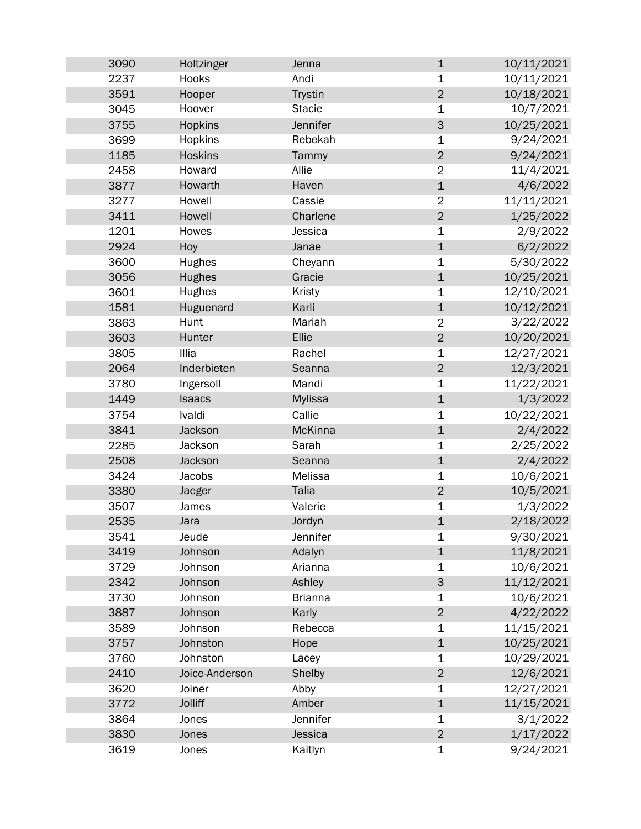| 3090 | Holtzinger     | Jenna          | $\mathbf 1$             | 10/11/2021 |
|------|----------------|----------------|-------------------------|------------|
| 2237 | Hooks          | Andi           | $\mathbf 1$             | 10/11/2021 |
| 3591 | Hooper         | <b>Trystin</b> | $\mathbf 2$             | 10/18/2021 |
| 3045 | Hoover         | <b>Stacie</b>  | $\mathbf 1$             | 10/7/2021  |
| 3755 | <b>Hopkins</b> | Jennifer       | 3                       | 10/25/2021 |
| 3699 | <b>Hopkins</b> | Rebekah        | 1                       | 9/24/2021  |
| 1185 | <b>Hoskins</b> | Tammy          | $\overline{2}$          | 9/24/2021  |
| 2458 | Howard         | Allie          | $\overline{2}$          | 11/4/2021  |
| 3877 | Howarth        | Haven          | $\mathbf 1$             | 4/6/2022   |
| 3277 | Howell         | Cassie         | $\overline{2}$          | 11/11/2021 |
| 3411 | Howell         | Charlene       | $\overline{2}$          | 1/25/2022  |
| 1201 | Howes          | Jessica        | $\mathbf 1$             | 2/9/2022   |
| 2924 | Hoy            | Janae          | $\mathbf 1$             | 6/2/2022   |
| 3600 | Hughes         | Cheyann        | $\mathbf 1$             | 5/30/2022  |
| 3056 | <b>Hughes</b>  | Gracie         | $\mathbf 1$             | 10/25/2021 |
| 3601 | Hughes         | <b>Kristy</b>  | $\mathbf 1$             | 12/10/2021 |
| 1581 | Huguenard      | Karli          | $\mathbf 1$             | 10/12/2021 |
| 3863 | Hunt           | Mariah         | $\overline{2}$          | 3/22/2022  |
| 3603 | Hunter         | Ellie          | $\overline{2}$          | 10/20/2021 |
| 3805 | Illia          | Rachel         | $\mathbf 1$             | 12/27/2021 |
| 2064 | Inderbieten    | Seanna         | $\overline{2}$          | 12/3/2021  |
| 3780 | Ingersoll      | Mandi          | $\mathbf 1$             | 11/22/2021 |
| 1449 | <b>Isaacs</b>  | <b>Mylissa</b> | $\mathbf 1$             | 1/3/2022   |
| 3754 | Ivaldi         | Callie         | $\mathbf 1$             | 10/22/2021 |
| 3841 | Jackson        | McKinna        | $\mathbf 1$             | 2/4/2022   |
| 2285 | Jackson        | Sarah          | $\mathbf 1$             | 2/25/2022  |
| 2508 | Jackson        | Seanna         | $\mathbf 1$             | 2/4/2022   |
| 3424 | Jacobs         | Melissa        | $\mathbf 1$             | 10/6/2021  |
| 3380 | Jaeger         | <b>Talia</b>   | $\overline{2}$          | 10/5/2021  |
| 3507 | James          | Valerie        | $\mathbf 1$             | 1/3/2022   |
| 2535 | Jara           | Jordyn         | $\mathbf 1$             | 2/18/2022  |
| 3541 | Jeude          | Jennifer       | 1                       | 9/30/2021  |
| 3419 | Johnson        | Adalyn         | $\mathbf 1$             | 11/8/2021  |
| 3729 | Johnson        | Arianna        | 1                       | 10/6/2021  |
| 2342 | Johnson        | Ashley         | 3                       | 11/12/2021 |
| 3730 | Johnson        | <b>Brianna</b> | 1                       | 10/6/2021  |
| 3887 | Johnson        | Karly          | $\overline{2}$          | 4/22/2022  |
| 3589 | Johnson        | Rebecca        | $\mathbf 1$             | 11/15/2021 |
| 3757 | Johnston       | Hope           | $\mathbf 1$             | 10/25/2021 |
| 3760 | Johnston       | Lacey          | $\mathbf 1$             | 10/29/2021 |
| 2410 | Joice-Anderson | Shelby         | $\overline{2}$          | 12/6/2021  |
| 3620 | Joiner         | Abby           | $\mathbf 1$             | 12/27/2021 |
| 3772 | <b>Jolliff</b> | Amber          | $\mathbf 1$             | 11/15/2021 |
| 3864 | Jones          | Jennifer       | $\mathbf 1$             | 3/1/2022   |
| 3830 | Jones          | Jessica        | $\overline{\mathbf{c}}$ | 1/17/2022  |
| 3619 | Jones          | Kaitlyn        | $\mathbf 1$             | 9/24/2021  |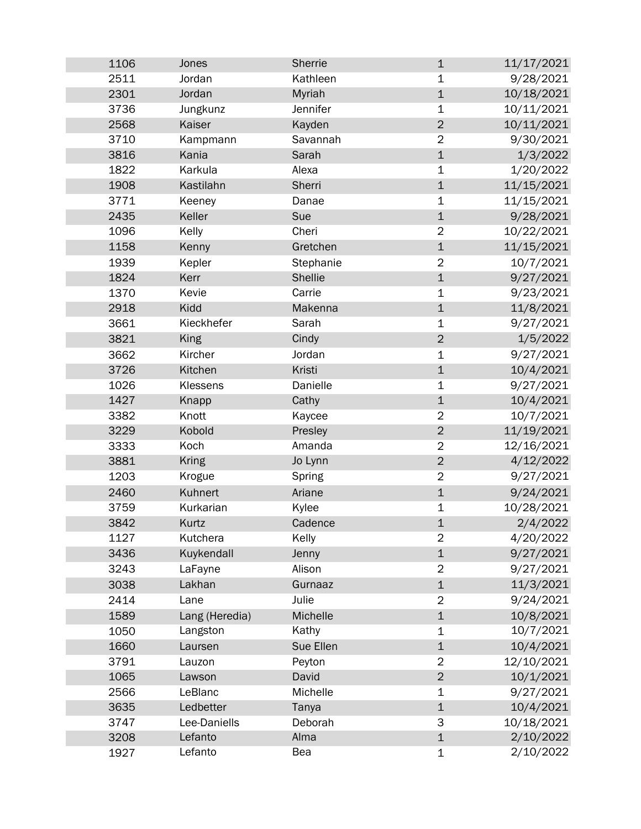| 1106 | Jones          | Sherrie   | $\mathbf 1$    | 11/17/2021 |
|------|----------------|-----------|----------------|------------|
| 2511 | Jordan         | Kathleen  | 1              | 9/28/2021  |
| 2301 | Jordan         | Myriah    | $\mathbf 1$    | 10/18/2021 |
| 3736 | Jungkunz       | Jennifer  | 1              | 10/11/2021 |
| 2568 | Kaiser         | Kayden    | $\overline{2}$ | 10/11/2021 |
| 3710 | Kampmann       | Savannah  | $\overline{2}$ | 9/30/2021  |
| 3816 | Kania          | Sarah     | $\mathbf 1$    | 1/3/2022   |
| 1822 | Karkula        | Alexa     | $\mathbf 1$    | 1/20/2022  |
| 1908 | Kastilahn      | Sherri    | $\mathbf 1$    | 11/15/2021 |
| 3771 | Keeney         | Danae     | $\mathbf 1$    | 11/15/2021 |
| 2435 | Keller         | Sue       | $\mathbf 1$    | 9/28/2021  |
| 1096 | Kelly          | Cheri     | $\overline{2}$ | 10/22/2021 |
| 1158 | Kenny          | Gretchen  | $\mathbf 1$    | 11/15/2021 |
| 1939 | Kepler         | Stephanie | $\overline{2}$ | 10/7/2021  |
| 1824 | Kerr           | Shellie   | $\mathbf 1$    | 9/27/2021  |
| 1370 | Kevie          | Carrie    | 1              | 9/23/2021  |
| 2918 | Kidd           | Makenna   | $\mathbf 1$    | 11/8/2021  |
| 3661 | Kieckhefer     | Sarah     | $\mathbf 1$    | 9/27/2021  |
| 3821 | King           | Cindy     | $\overline{2}$ | 1/5/2022   |
| 3662 | Kircher        | Jordan    | 1              | 9/27/2021  |
| 3726 | Kitchen        | Kristi    | $\mathbf 1$    | 10/4/2021  |
| 1026 | Klessens       | Danielle  | 1              | 9/27/2021  |
| 1427 | Knapp          | Cathy     | $\mathbf{1}$   | 10/4/2021  |
| 3382 | Knott          | Kaycee    | $\overline{2}$ | 10/7/2021  |
| 3229 | Kobold         | Presley   | $\overline{2}$ | 11/19/2021 |
| 3333 | Koch           | Amanda    | $\overline{2}$ | 12/16/2021 |
| 3881 | <b>Kring</b>   | Jo Lynn   | $\overline{2}$ | 4/12/2022  |
| 1203 | Krogue         | Spring    | $\overline{2}$ | 9/27/2021  |
| 2460 | Kuhnert        | Ariane    | $\mathbf 1$    | 9/24/2021  |
| 3759 | Kurkarian      | Kylee     | 1              | 10/28/2021 |
| 3842 | Kurtz          | Cadence   | $\overline{1}$ | 2/4/2022   |
| 1127 | Kutchera       | Kelly     | $\overline{2}$ | 4/20/2022  |
| 3436 | Kuykendall     | Jenny     | $\mathbf 1$    | 9/27/2021  |
| 3243 | LaFayne        | Alison    | $\overline{2}$ | 9/27/2021  |
| 3038 | Lakhan         | Gurnaaz   | $\mathbf 1$    | 11/3/2021  |
| 2414 | Lane           | Julie     | $\overline{2}$ | 9/24/2021  |
| 1589 | Lang (Heredia) | Michelle  | $\mathbf 1$    | 10/8/2021  |
| 1050 | Langston       | Kathy     | 1              | 10/7/2021  |
| 1660 | Laursen        | Sue Ellen | $\mathbf 1$    | 10/4/2021  |
| 3791 | Lauzon         | Peyton    | $\overline{2}$ | 12/10/2021 |
| 1065 | Lawson         | David     | $\overline{2}$ | 10/1/2021  |
| 2566 | LeBlanc        | Michelle  | $\mathbf 1$    | 9/27/2021  |
| 3635 | Ledbetter      | Tanya     | $\mathbf 1$    | 10/4/2021  |
| 3747 | Lee-Daniells   | Deborah   | 3              | 10/18/2021 |
| 3208 | Lefanto        | Alma      | $\mathbf 1$    | 2/10/2022  |
| 1927 | Lefanto        | Bea       | $\mathbf 1$    | 2/10/2022  |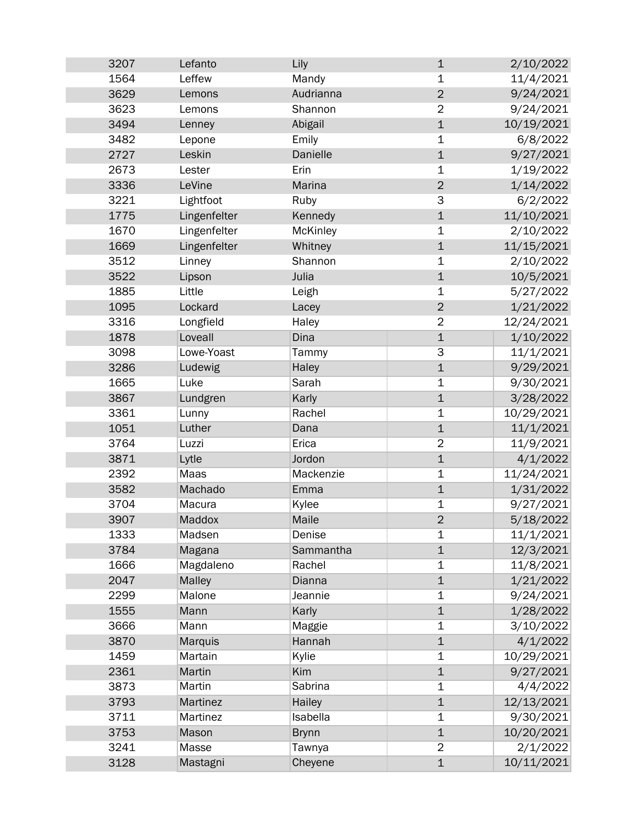| 3207 | Lefanto      | Lily         | $\mathbf 1$    | 2/10/2022  |
|------|--------------|--------------|----------------|------------|
| 1564 | Leffew       | Mandy        | 1              | 11/4/2021  |
| 3629 | Lemons       | Audrianna    | $\overline{2}$ | 9/24/2021  |
| 3623 | Lemons       | Shannon      | $\overline{2}$ | 9/24/2021  |
| 3494 | Lenney       | Abigail      | $\mathbf{1}$   | 10/19/2021 |
| 3482 | Lepone       | Emily        | 1              | 6/8/2022   |
| 2727 | Leskin       | Danielle     | $\mathbf 1$    | 9/27/2021  |
| 2673 | Lester       | Erin         | $\mathbf 1$    | 1/19/2022  |
| 3336 | LeVine       | Marina       | $\overline{2}$ | 1/14/2022  |
| 3221 | Lightfoot    | Ruby         | 3              | 6/2/2022   |
| 1775 | Lingenfelter | Kennedy      | $\mathbf 1$    | 11/10/2021 |
| 1670 | Lingenfelter | McKinley     | $\mathbf 1$    | 2/10/2022  |
| 1669 | Lingenfelter | Whitney      | $\mathbf 1$    | 11/15/2021 |
| 3512 | Linney       | Shannon      | $\mathbf 1$    | 2/10/2022  |
| 3522 | Lipson       | Julia        | $\mathbf 1$    | 10/5/2021  |
| 1885 | Little       | Leigh        | $\mathbf 1$    | 5/27/2022  |
| 1095 | Lockard      | Lacey        | $\overline{2}$ | 1/21/2022  |
| 3316 | Longfield    | Haley        | $\overline{2}$ | 12/24/2021 |
| 1878 | Loveall      | Dina         | $\mathbf 1$    | 1/10/2022  |
| 3098 | Lowe-Yoast   | Tammy        | 3              | 11/1/2021  |
| 3286 | Ludewig      | Haley        | $\mathbf 1$    | 9/29/2021  |
| 1665 | Luke         | Sarah        | $\mathbf 1$    | 9/30/2021  |
| 3867 | Lundgren     | Karly        | $\mathbf{1}$   | 3/28/2022  |
| 3361 | Lunny        | Rachel       | $\mathbf 1$    | 10/29/2021 |
| 1051 | Luther       | Dana         | $\mathbf 1$    | 11/1/2021  |
| 3764 | Luzzi        | Erica        | $\overline{2}$ | 11/9/2021  |
| 3871 | Lytle        | Jordon       | $\mathbf 1$    | 4/1/2022   |
| 2392 | Maas         | Mackenzie    | $\mathbf 1$    | 11/24/2021 |
| 3582 | Machado      | Emma         | $\mathbf{1}$   | 1/31/2022  |
| 3704 | Macura       | Kylee        | 1              | 9/27/2021  |
| 3907 | Maddox       | Maile        | $\overline{2}$ | 5/18/2022  |
| 1333 | Madsen       | Denise       | 1              | 11/1/2021  |
| 3784 | Magana       | Sammantha    | $\mathbf 1$    | 12/3/2021  |
| 1666 | Magdaleno    | Rachel       | $\mathbf 1$    | 11/8/2021  |
| 2047 | Malley       | Dianna       | $\mathbf{1}$   | 1/21/2022  |
| 2299 | Malone       | Jeannie      | $\mathbf 1$    | 9/24/2021  |
| 1555 | Mann         | Karly        | $\mathbf 1$    | 1/28/2022  |
| 3666 | Mann         | Maggie       | 1              | 3/10/2022  |
| 3870 | Marquis      | Hannah       | $\mathbf 1$    | 4/1/2022   |
| 1459 | Martain      | Kylie        | 1              | 10/29/2021 |
| 2361 | Martin       | Kim          | $\mathbf{1}$   | 9/27/2021  |
| 3873 | Martin       | Sabrina      | $\mathbf 1$    | 4/4/2022   |
| 3793 | Martinez     | Hailey       | $\mathbf{1}$   | 12/13/2021 |
| 3711 | Martinez     | Isabella     | $\mathbf 1$    | 9/30/2021  |
| 3753 | Mason        | <b>Brynn</b> | $\mathbf{1}$   | 10/20/2021 |
| 3241 | Masse        | Tawnya       | $\overline{2}$ | 2/1/2022   |
| 3128 | Mastagni     | Cheyene      | $\mathbf 1$    | 10/11/2021 |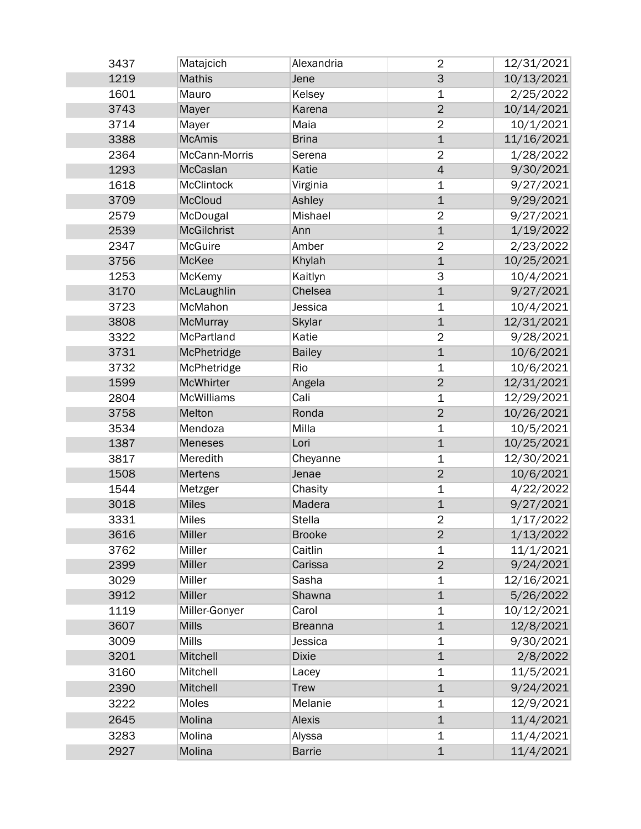| 3437 | Matajcich         | Alexandria     | $\overline{2}$ | 12/31/2021 |
|------|-------------------|----------------|----------------|------------|
| 1219 | <b>Mathis</b>     | Jene           | $\mathsf{3}$   | 10/13/2021 |
| 1601 | Mauro             | Kelsey         | $\mathbf 1$    | 2/25/2022  |
| 3743 | Mayer             | Karena         | $\overline{2}$ | 10/14/2021 |
| 3714 | Mayer             | Maia           | $\overline{2}$ | 10/1/2021  |
| 3388 | <b>McAmis</b>     | <b>Brina</b>   | $\overline{1}$ | 11/16/2021 |
| 2364 | McCann-Morris     | Serena         | $\overline{2}$ | 1/28/2022  |
| 1293 | McCaslan          | Katie          | $\overline{4}$ | 9/30/2021  |
| 1618 | <b>McClintock</b> | Virginia       | 1              | 9/27/2021  |
| 3709 | <b>McCloud</b>    | Ashley         | $\mathbf 1$    | 9/29/2021  |
| 2579 | McDougal          | Mishael        | $\overline{2}$ | 9/27/2021  |
| 2539 | McGilchrist       | Ann            | $\overline{1}$ | 1/19/2022  |
| 2347 | McGuire           | Amber          | $\overline{2}$ | 2/23/2022  |
| 3756 | McKee             | Khylah         | $\mathbf{1}$   | 10/25/2021 |
| 1253 | McKemy            | Kaitlyn        | 3              | 10/4/2021  |
| 3170 | McLaughlin        | Chelsea        | $\mathbf{1}$   | 9/27/2021  |
| 3723 | McMahon           | Jessica        | $\mathbf 1$    | 10/4/2021  |
| 3808 | McMurray          | Skylar         | $\mathbf 1$    | 12/31/2021 |
| 3322 | McPartland        | Katie          | $\overline{2}$ | 9/28/2021  |
| 3731 | McPhetridge       | <b>Bailey</b>  | $\overline{1}$ | 10/6/2021  |
| 3732 | McPhetridge       | Rio            | $\mathbf 1$    | 10/6/2021  |
| 1599 | McWhirter         | Angela         | $\overline{2}$ | 12/31/2021 |
| 2804 | <b>McWilliams</b> | Cali           | 1              | 12/29/2021 |
| 3758 | Melton            | Ronda          | $\overline{2}$ | 10/26/2021 |
| 3534 | Mendoza           | Milla          | $\mathbf 1$    | 10/5/2021  |
| 1387 | Meneses           | Lori           | $\overline{1}$ | 10/25/2021 |
| 3817 | Meredith          | Cheyanne       | $\mathbf 1$    | 12/30/2021 |
| 1508 | <b>Mertens</b>    | Jenae          | $\overline{2}$ | 10/6/2021  |
| 1544 | Metzger           | Chasity        | $\mathbf 1$    | 4/22/2022  |
| 3018 | <b>Miles</b>      | Madera         | $\mathbf 1$    | 9/27/2021  |
| 3331 | <b>Miles</b>      | <b>Stella</b>  | $\overline{2}$ | 1/17/2022  |
| 3616 | Miller            | <b>Brooke</b>  | $\overline{2}$ | 1/13/2022  |
| 3762 | Miller            | Caitlin        | $\mathbf 1$    | 11/1/2021  |
| 2399 | Miller            | Carissa        | $\overline{2}$ | 9/24/2021  |
| 3029 | Miller            | Sasha          | 1              | 12/16/2021 |
| 3912 | Miller            | Shawna         | $\mathbf 1$    | 5/26/2022  |
| 1119 | Miller-Gonyer     | Carol          | $\mathbf 1$    | 10/12/2021 |
| 3607 | <b>Mills</b>      | <b>Breanna</b> | $\overline{1}$ | 12/8/2021  |
| 3009 | <b>Mills</b>      | Jessica        | 1              | 9/30/2021  |
| 3201 | Mitchell          | <b>Dixie</b>   | $\mathbf 1$    | 2/8/2022   |
| 3160 | Mitchell          | Lacey          | 1              | 11/5/2021  |
| 2390 | Mitchell          | <b>Trew</b>    | $\mathbf 1$    | 9/24/2021  |
| 3222 | Moles             | Melanie        | $\mathbf 1$    | 12/9/2021  |
| 2645 | Molina            | Alexis         | $\mathbf 1$    | 11/4/2021  |
| 3283 | Molina            | Alyssa         | 1              | 11/4/2021  |
| 2927 | Molina            | <b>Barrie</b>  | $\mathbf 1$    | 11/4/2021  |
|      |                   |                |                |            |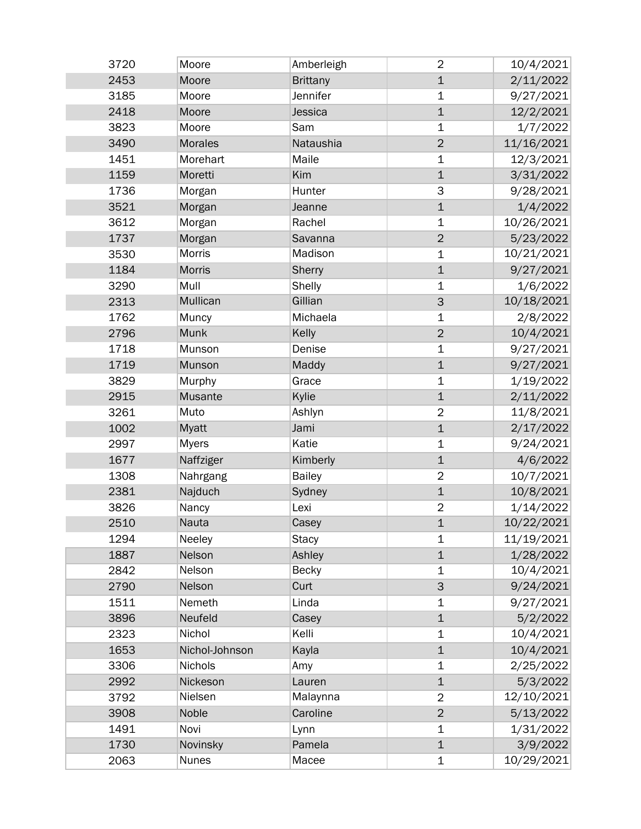| 3720 | Moore          | Amberleigh      | $\overline{2}$ | 10/4/2021  |
|------|----------------|-----------------|----------------|------------|
| 2453 | Moore          | <b>Brittany</b> | $\mathbf 1$    | 2/11/2022  |
| 3185 | Moore          | Jennifer        | 1              | 9/27/2021  |
| 2418 | Moore          | Jessica         | $\mathbf 1$    | 12/2/2021  |
| 3823 | Moore          | Sam             | $\mathbf 1$    | 1/7/2022   |
| 3490 | <b>Morales</b> | Nataushia       | $\overline{2}$ | 11/16/2021 |
| 1451 | Morehart       | Maile           | $\mathbf 1$    | 12/3/2021  |
| 1159 | Moretti        | Kim             | $\mathbf 1$    | 3/31/2022  |
| 1736 | Morgan         | Hunter          | 3              | 9/28/2021  |
| 3521 | Morgan         | Jeanne          | $\mathbf 1$    | 1/4/2022   |
| 3612 | Morgan         | Rachel          | $\mathbf 1$    | 10/26/2021 |
| 1737 | Morgan         | Savanna         | $\overline{2}$ | 5/23/2022  |
| 3530 | Morris         | Madison         | $\mathbf 1$    | 10/21/2021 |
| 1184 | <b>Morris</b>  | Sherry          | $\mathbf 1$    | 9/27/2021  |
| 3290 | Mull           | Shelly          | 1              | 1/6/2022   |
| 2313 | Mullican       | Gillian         | 3              | 10/18/2021 |
| 1762 | Muncy          | Michaela        | $\mathbf 1$    | 2/8/2022   |
| 2796 | Munk           | Kelly           | $\overline{2}$ | 10/4/2021  |
| 1718 | Munson         | Denise          | $\mathbf 1$    | 9/27/2021  |
| 1719 | Munson         | Maddy           | $\mathbf 1$    | 9/27/2021  |
| 3829 | Murphy         | Grace           | $\mathbf 1$    | 1/19/2022  |
| 2915 | Musante        | Kylie           | $\mathbf 1$    | 2/11/2022  |
| 3261 | Muto           | Ashlyn          | $\overline{2}$ | 11/8/2021  |
| 1002 | Myatt          | Jami            | $\mathbf 1$    | 2/17/2022  |
| 2997 | <b>Myers</b>   | Katie           | $\mathbf 1$    | 9/24/2021  |
| 1677 | Naffziger      | Kimberly        | $\mathbf 1$    | 4/6/2022   |
| 1308 | Nahrgang       | <b>Bailey</b>   | $\overline{2}$ | 10/7/2021  |
| 2381 | Najduch        | Sydney          | $\mathbf{1}$   | 10/8/2021  |
| 3826 | Nancy          | Lexi            | $\overline{2}$ | 1/14/2022  |
| 2510 | <b>Nauta</b>   | Casey           | $\mathbf{1}$   | 10/22/2021 |
| 1294 | Neeley         | <b>Stacy</b>    | 1              | 11/19/2021 |
| 1887 | Nelson         | Ashley          | $\mathbf{1}$   | 1/28/2022  |
| 2842 | Nelson         | <b>Becky</b>    | $\mathbf 1$    | 10/4/2021  |
| 2790 | Nelson         | Curt            | 3              | 9/24/2021  |
| 1511 | Nemeth         | Linda           | $\mathbf 1$    | 9/27/2021  |
| 3896 | Neufeld        | Casey           | $\mathbf{1}$   | 5/2/2022   |
| 2323 | Nichol         | Kelli           | 1              | 10/4/2021  |
| 1653 | Nichol-Johnson | Kayla           | $\mathbf{1}$   | 10/4/2021  |
| 3306 | Nichols        | Amy             | 1              | 2/25/2022  |
| 2992 | Nickeson       | Lauren          | $\mathbf 1$    | 5/3/2022   |
| 3792 | Nielsen        | Malaynna        | $\overline{2}$ | 12/10/2021 |
| 3908 | Noble          | Caroline        | $\overline{2}$ | 5/13/2022  |
| 1491 | Novi           | Lynn            | 1              | 1/31/2022  |
| 1730 | Novinsky       | Pamela          | $\mathbf 1$    | 3/9/2022   |
| 2063 | <b>Nunes</b>   | Macee           | 1              | 10/29/2021 |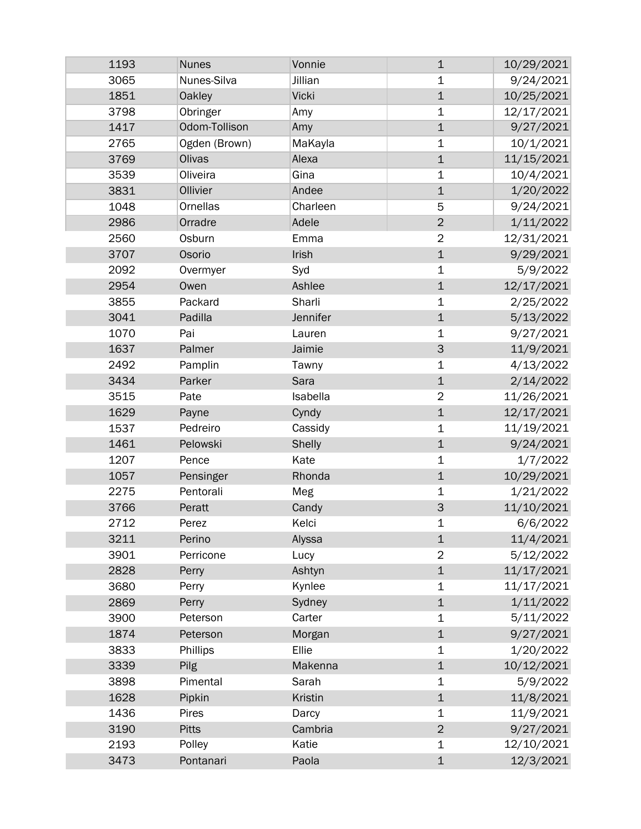| 1193 | <b>Nunes</b>  | Vonnie        | $\mathbf 1$    | 10/29/2021 |
|------|---------------|---------------|----------------|------------|
| 3065 | Nunes-Silva   | Jillian       | 1              | 9/24/2021  |
| 1851 | <b>Oakley</b> | <b>Vicki</b>  | $\mathbf 1$    | 10/25/2021 |
| 3798 | Obringer      | Amy           | $\mathbf 1$    | 12/17/2021 |
| 1417 | Odom-Tollison | Amy           | $\mathbf 1$    | 9/27/2021  |
| 2765 | Ogden (Brown) | MaKayla       | $\mathbf 1$    | 10/1/2021  |
| 3769 | Olivas        | Alexa         | $\mathbf 1$    | 11/15/2021 |
| 3539 | Oliveira      | Gina          | 1              | 10/4/2021  |
| 3831 | Ollivier      | Andee         | $\mathbf 1$    | 1/20/2022  |
| 1048 | Ornellas      | Charleen      | 5              | 9/24/2021  |
| 2986 | Orradre       | Adele         | $\overline{2}$ | 1/11/2022  |
| 2560 | Osburn        | Emma          | $\overline{2}$ | 12/31/2021 |
| 3707 | Osorio        | Irish         | $\mathbf 1$    | 9/29/2021  |
| 2092 | Overmyer      | Syd           | 1              | 5/9/2022   |
| 2954 | Owen          | Ashlee        | $\mathbf 1$    | 12/17/2021 |
| 3855 | Packard       | Sharli        | 1              | 2/25/2022  |
| 3041 | Padilla       | Jennifer      | $\mathbf 1$    | 5/13/2022  |
| 1070 | Pai           | Lauren        | 1              | 9/27/2021  |
| 1637 | Palmer        | Jaimie        | 3              | 11/9/2021  |
| 2492 | Pamplin       | Tawny         | $\mathbf 1$    | 4/13/2022  |
| 3434 | Parker        | Sara          | $\mathbf 1$    | 2/14/2022  |
| 3515 | Pate          | Isabella      | $\overline{2}$ | 11/26/2021 |
| 1629 | Payne         | Cyndy         | $\mathbf 1$    | 12/17/2021 |
| 1537 | Pedreiro      | Cassidy       | 1              | 11/19/2021 |
| 1461 | Pelowski      | <b>Shelly</b> | $\mathbf 1$    | 9/24/2021  |
| 1207 | Pence         | Kate          | 1              | 1/7/2022   |
| 1057 | Pensinger     | Rhonda        | $\mathbf 1$    | 10/29/2021 |
| 2275 | Pentorali     | Meg           | 1              | 1/21/2022  |
| 3766 | Peratt        | Candy         | 3              | 11/10/2021 |
| 2712 | Perez         | Kelci         | 1              | 6/6/2022   |
| 3211 | Perino        | Alyssa        | $\mathbf 1$    | 11/4/2021  |
| 3901 | Perricone     | Lucy          | $\overline{2}$ | 5/12/2022  |
| 2828 | Perry         | Ashtyn        | $\mathbf 1$    | 11/17/2021 |
| 3680 | Perry         | Kynlee        | 1              | 11/17/2021 |
| 2869 | Perry         | Sydney        | $\mathbf 1$    | 1/11/2022  |
| 3900 | Peterson      | Carter        | 1              | 5/11/2022  |
| 1874 | Peterson      | Morgan        | $\mathbf 1$    | 9/27/2021  |
| 3833 | Phillips      | Ellie         | 1              | 1/20/2022  |
| 3339 | Pilg          | Makenna       | $\mathbf 1$    | 10/12/2021 |
| 3898 | Pimental      | Sarah         | $\mathbf 1$    | 5/9/2022   |
| 1628 | Pipkin        | Kristin       | $\mathbf 1$    | 11/8/2021  |
| 1436 | Pires         | Darcy         | $\mathbf 1$    | 11/9/2021  |
| 3190 | <b>Pitts</b>  | Cambria       | $\overline{c}$ | 9/27/2021  |
| 2193 | Polley        | Katie         | 1              | 12/10/2021 |
| 3473 | Pontanari     | Paola         | $\mathbf 1$    | 12/3/2021  |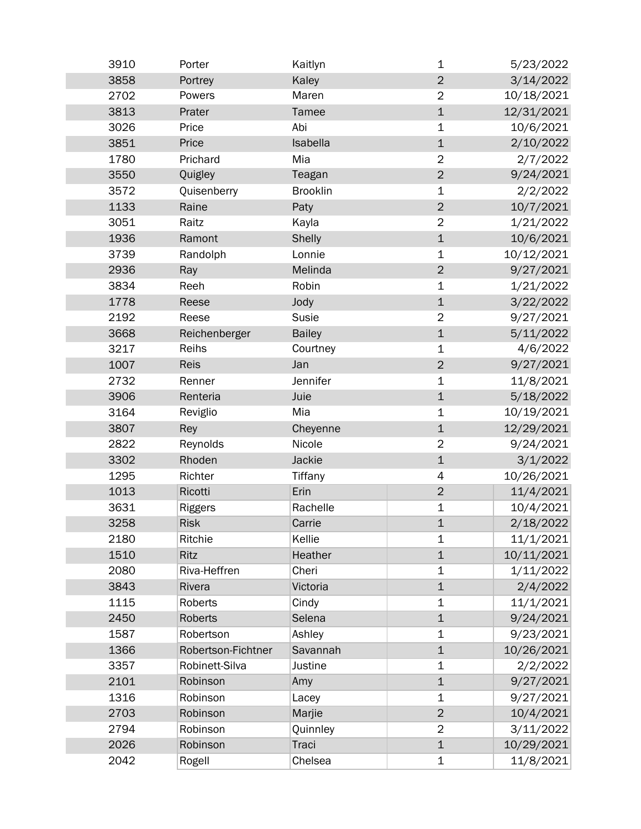| 3910 | Porter             | Kaitlyn         | 1              | 5/23/2022  |
|------|--------------------|-----------------|----------------|------------|
| 3858 | Portrey            | Kaley           | $\overline{2}$ | 3/14/2022  |
| 2702 | Powers             | Maren           | $\overline{2}$ | 10/18/2021 |
| 3813 | Prater             | Tamee           | $\mathbf 1$    | 12/31/2021 |
| 3026 | Price              | Abi             | 1              | 10/6/2021  |
| 3851 | Price              | Isabella        | $\mathbf 1$    | 2/10/2022  |
| 1780 | Prichard           | Mia             | $\overline{2}$ | 2/7/2022   |
| 3550 | Quigley            | Teagan          | $\overline{2}$ | 9/24/2021  |
| 3572 | Quisenberry        | <b>Brooklin</b> | 1              | 2/2/2022   |
| 1133 | Raine              | Paty            | $\overline{2}$ | 10/7/2021  |
| 3051 | Raitz              | Kayla           | $\overline{2}$ | 1/21/2022  |
| 1936 | Ramont             | <b>Shelly</b>   | $\mathbf{1}$   | 10/6/2021  |
| 3739 | Randolph           | Lonnie          | 1              | 10/12/2021 |
| 2936 | Ray                | Melinda         | $\overline{2}$ | 9/27/2021  |
| 3834 | Reeh               | Robin           | $\mathbf 1$    | 1/21/2022  |
| 1778 | Reese              | Jody            | $\mathbf 1$    | 3/22/2022  |
| 2192 | Reese              | Susie           | $\overline{2}$ | 9/27/2021  |
| 3668 | Reichenberger      | <b>Bailey</b>   | $\mathbf 1$    | 5/11/2022  |
| 3217 | Reihs              | Courtney        | $\mathbf 1$    | 4/6/2022   |
| 1007 | <b>Reis</b>        | Jan             | $\overline{2}$ | 9/27/2021  |
| 2732 | Renner             | Jennifer        | $\mathbf 1$    | 11/8/2021  |
| 3906 | Renteria           | Juie            | $\mathbf 1$    | 5/18/2022  |
| 3164 | Reviglio           | Mia             | $\mathbf 1$    | 10/19/2021 |
| 3807 | Rey                | Cheyenne        | $\mathbf 1$    | 12/29/2021 |
| 2822 | Reynolds           | Nicole          | $\overline{2}$ | 9/24/2021  |
| 3302 | Rhoden             | Jackie          | $\mathbf 1$    | 3/1/2022   |
| 1295 | Richter            | Tiffany         | 4              | 10/26/2021 |
| 1013 | Ricotti            | Erin            | $\mathbf 2$    | 11/4/2021  |
| 3631 | Riggers            | Rachelle        | 1              | 10/4/2021  |
| 3258 | <b>Risk</b>        | Carrie          | $\mathbf 1$    | 2/18/2022  |
| 2180 | Ritchie            | Kellie          | 1              | 11/1/2021  |
| 1510 | Ritz               | Heather         | $\mathbf 1$    | 10/11/2021 |
| 2080 | Riva-Heffren       | Cheri           | 1              | 1/11/2022  |
| 3843 | Rivera             | Victoria        | $\mathbf 1$    | 2/4/2022   |
| 1115 | Roberts            | Cindy           | 1              | 11/1/2021  |
| 2450 | <b>Roberts</b>     | Selena          | $\mathbf 1$    | 9/24/2021  |
| 1587 | Robertson          | Ashley          | $\mathbf 1$    | 9/23/2021  |
| 1366 | Robertson-Fichtner | Savannah        | $\mathbf 1$    | 10/26/2021 |
| 3357 | Robinett-Silva     | Justine         | $\mathbf 1$    | 2/2/2022   |
| 2101 | Robinson           | Amy             | $\mathbf{1}$   | 9/27/2021  |
| 1316 | Robinson           | Lacey           | $\mathbf 1$    | 9/27/2021  |
| 2703 | Robinson           | Marjie          | $\overline{2}$ | 10/4/2021  |
| 2794 | Robinson           | Quinnley        | $\overline{2}$ | 3/11/2022  |
| 2026 | Robinson           | Traci           | $\mathbf{1}$   | 10/29/2021 |
| 2042 | Rogell             | Chelsea         | $\mathbf 1$    | 11/8/2021  |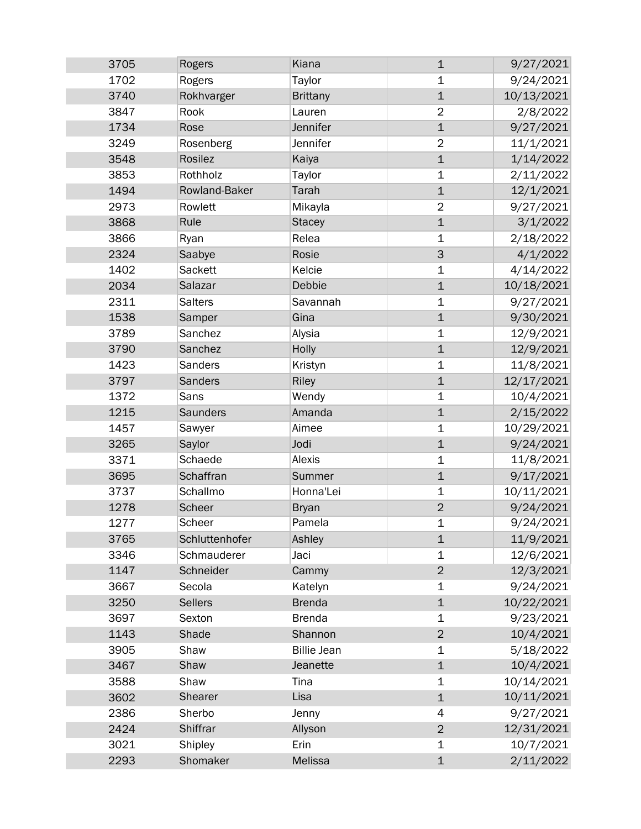| 3705 | Rogers          | Kiana              | $\mathbf 1$    | 9/27/2021  |
|------|-----------------|--------------------|----------------|------------|
| 1702 | Rogers          | Taylor             | 1              | 9/24/2021  |
| 3740 | Rokhvarger      | <b>Brittany</b>    | $\mathbf 1$    | 10/13/2021 |
| 3847 | Rook            | Lauren             | $\overline{2}$ | 2/8/2022   |
| 1734 | Rose            | Jennifer           | $\mathbf 1$    | 9/27/2021  |
| 3249 | Rosenberg       | Jennifer           | $\overline{2}$ | 11/1/2021  |
| 3548 | Rosilez         | Kaiya              | $\mathbf{1}$   | 1/14/2022  |
| 3853 | Rothholz        | Taylor             | $\mathbf 1$    | 2/11/2022  |
| 1494 | Rowland-Baker   | Tarah              | $\mathbf{1}$   | 12/1/2021  |
| 2973 | Rowlett         | Mikayla            | $\overline{2}$ | 9/27/2021  |
| 3868 | Rule            | <b>Stacey</b>      | $\mathbf{1}$   | 3/1/2022   |
| 3866 | Ryan            | Relea              | $\mathbf 1$    | 2/18/2022  |
| 2324 | Saabye          | Rosie              | 3              | 4/1/2022   |
| 1402 | Sackett         | Kelcie             | $\mathbf 1$    | 4/14/2022  |
| 2034 | Salazar         | Debbie             | $\mathbf 1$    | 10/18/2021 |
| 2311 | <b>Salters</b>  | Savannah           | $\mathbf 1$    | 9/27/2021  |
| 1538 | Samper          | Gina               | $\mathbf{1}$   | 9/30/2021  |
| 3789 | Sanchez         | Alysia             | $\mathbf 1$    | 12/9/2021  |
| 3790 | Sanchez         | Holly              | $\mathbf 1$    | 12/9/2021  |
| 1423 | Sanders         | Kristyn            | $\mathbf 1$    | 11/8/2021  |
| 3797 | Sanders         | Riley              | $\mathbf 1$    | 12/17/2021 |
| 1372 | Sans            | Wendy              | $\mathbf 1$    | 10/4/2021  |
| 1215 | <b>Saunders</b> | Amanda             | $\mathbf 1$    | 2/15/2022  |
| 1457 | Sawyer          | Aimee              | 1              | 10/29/2021 |
| 3265 | Saylor          | Jodi               | $\mathbf 1$    | 9/24/2021  |
| 3371 | Schaede         | Alexis             | 1              | 11/8/2021  |
| 3695 | Schaffran       | Summer             | $\mathbf{1}$   | 9/17/2021  |
| 3737 | Schallmo        | Honna'Lei          | 1              | 10/11/2021 |
| 1278 | Scheer          | <b>Bryan</b>       | $\overline{2}$ | 9/24/2021  |
| 1277 | Scheer          | Pamela             | 1              | 9/24/2021  |
| 3765 | Schluttenhofer  | Ashley             | $\mathbf 1$    | 11/9/2021  |
| 3346 | Schmauderer     | Jaci               | 1              | 12/6/2021  |
| 1147 | Schneider       | Cammy              | $\overline{2}$ | 12/3/2021  |
| 3667 | Secola          | Katelyn            | 1              | 9/24/2021  |
| 3250 | <b>Sellers</b>  | <b>Brenda</b>      | $\mathbf 1$    | 10/22/2021 |
| 3697 | Sexton          | <b>Brenda</b>      | 1              | 9/23/2021  |
| 1143 | Shade           | Shannon            | $\overline{2}$ | 10/4/2021  |
| 3905 | Shaw            | <b>Billie Jean</b> | 1              | 5/18/2022  |
| 3467 | Shaw            | Jeanette           | $\mathbf 1$    | 10/4/2021  |
| 3588 | Shaw            | Tina               | $\mathbf 1$    | 10/14/2021 |
| 3602 | Shearer         | Lisa               | $\mathbf 1$    | 10/11/2021 |
| 2386 | Sherbo          | Jenny              | 4              | 9/27/2021  |
| 2424 | Shiffrar        | Allyson            | $\overline{c}$ | 12/31/2021 |
| 3021 | Shipley         | Erin               | 1              | 10/7/2021  |
| 2293 | Shomaker        | Melissa            | $\mathbf 1$    | 2/11/2022  |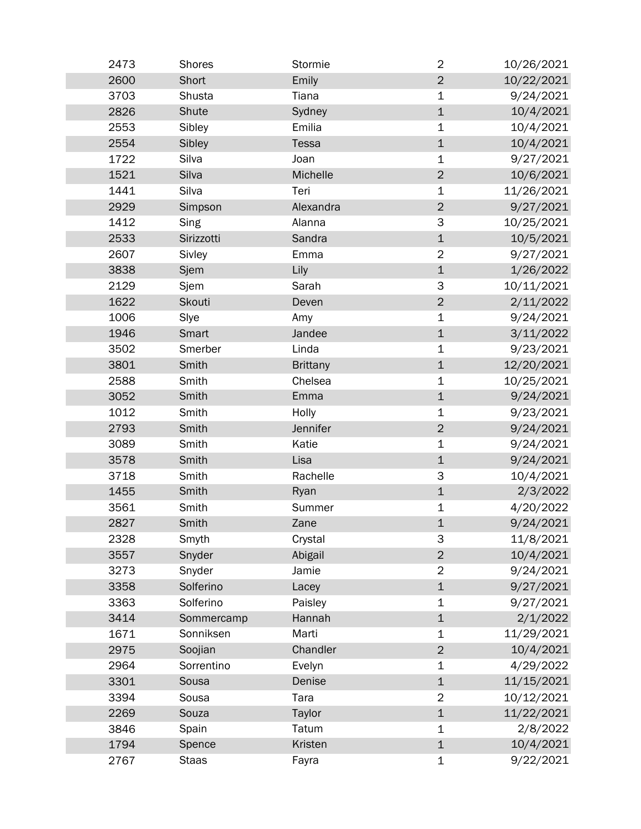| 2473 | <b>Shores</b> | Stormie         | $\overline{2}$ | 10/26/2021 |
|------|---------------|-----------------|----------------|------------|
| 2600 | Short         | Emily           | $\overline{2}$ | 10/22/2021 |
| 3703 | Shusta        | Tiana           | 1              | 9/24/2021  |
| 2826 | Shute         | Sydney          | $\mathbf 1$    | 10/4/2021  |
| 2553 | Sibley        | Emilia          | 1              | 10/4/2021  |
| 2554 | Sibley        | Tessa           | $\mathbf 1$    | 10/4/2021  |
| 1722 | Silva         | Joan            | 1              | 9/27/2021  |
| 1521 | Silva         | Michelle        | $\overline{2}$ | 10/6/2021  |
| 1441 | Silva         | Teri            | 1              | 11/26/2021 |
| 2929 | Simpson       | Alexandra       | $\overline{2}$ | 9/27/2021  |
| 1412 | Sing          | Alanna          | 3              | 10/25/2021 |
| 2533 | Sirizzotti    | Sandra          | $\mathbf 1$    | 10/5/2021  |
| 2607 | Sivley        | Emma            | $\overline{2}$ | 9/27/2021  |
| 3838 | Sjem          | Lily            | $\mathbf 1$    | 1/26/2022  |
| 2129 | Sjem          | Sarah           | 3              | 10/11/2021 |
| 1622 | Skouti        | Deven           | $\overline{2}$ | 2/11/2022  |
| 1006 | Slye          | Amy             | 1              | 9/24/2021  |
| 1946 | Smart         | Jandee          | $\mathbf 1$    | 3/11/2022  |
| 3502 | Smerber       | Linda           | $\mathbf 1$    | 9/23/2021  |
| 3801 | Smith         | <b>Brittany</b> | $\mathbf 1$    | 12/20/2021 |
| 2588 | Smith         | Chelsea         | 1              | 10/25/2021 |
| 3052 | Smith         | Emma            | $\mathbf 1$    | 9/24/2021  |
| 1012 | Smith         | Holly           | $\mathbf 1$    | 9/23/2021  |
| 2793 | Smith         | Jennifer        | $\overline{2}$ | 9/24/2021  |
| 3089 | Smith         | Katie           | $\mathbf 1$    | 9/24/2021  |
| 3578 | Smith         | Lisa            | $\mathbf 1$    | 9/24/2021  |
| 3718 | Smith         | Rachelle        | 3              | 10/4/2021  |
| 1455 | Smith         | Ryan            | $\mathbf 1$    | 2/3/2022   |
| 3561 | Smith         | Summer          | 1              | 4/20/2022  |
| 2827 | Smith         | Zane            | $\mathbf{1}$   | 9/24/2021  |
| 2328 | Smyth         | Crystal         | 3              | 11/8/2021  |
| 3557 | Snyder        | Abigail         | $\overline{2}$ | 10/4/2021  |
| 3273 | Snyder        | Jamie           | $\overline{2}$ | 9/24/2021  |
| 3358 | Solferino     | Lacey           | $\mathbf 1$    | 9/27/2021  |
| 3363 | Solferino     | Paisley         | 1              | 9/27/2021  |
| 3414 | Sommercamp    | Hannah          | $\mathbf 1$    | 2/1/2022   |
| 1671 | Sonniksen     | Marti           | 1              | 11/29/2021 |
| 2975 | Soojian       | Chandler        | $\overline{2}$ | 10/4/2021  |
| 2964 | Sorrentino    | Evelyn          | 1              | 4/29/2022  |
| 3301 | Sousa         | Denise          | $\mathbf 1$    | 11/15/2021 |
| 3394 | Sousa         | Tara            | $\overline{2}$ | 10/12/2021 |
| 2269 | Souza         | Taylor          | $\mathbf 1$    | 11/22/2021 |
| 3846 | Spain         | Tatum           | 1              | 2/8/2022   |
| 1794 | Spence        | <b>Kristen</b>  | $\mathbf{1}$   | 10/4/2021  |
| 2767 | <b>Staas</b>  | Fayra           | $\mathbf 1$    | 9/22/2021  |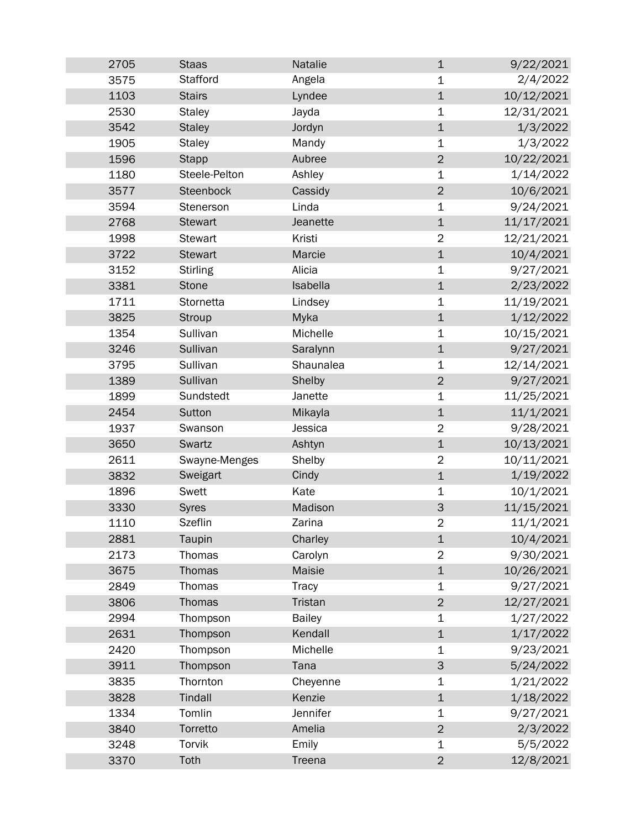| 2705 | <b>Staas</b>    | Natalie       | $\mathbf 1$               | 9/22/2021  |
|------|-----------------|---------------|---------------------------|------------|
| 3575 | Stafford        | Angela        | 1                         | 2/4/2022   |
| 1103 | <b>Stairs</b>   | Lyndee        | $\mathbf 1$               | 10/12/2021 |
| 2530 | <b>Staley</b>   | Jayda         | $\mathbf 1$               | 12/31/2021 |
| 3542 | <b>Staley</b>   | Jordyn        | $\mathbf 1$               | 1/3/2022   |
| 1905 | <b>Staley</b>   | Mandy         | $\mathbf 1$               | 1/3/2022   |
| 1596 | <b>Stapp</b>    | Aubree        | $\overline{2}$            | 10/22/2021 |
| 1180 | Steele-Pelton   | Ashley        | 1                         | 1/14/2022  |
| 3577 | Steenbock       | Cassidy       | $\overline{2}$            | 10/6/2021  |
| 3594 | Stenerson       | Linda         | $\mathbf 1$               | 9/24/2021  |
| 2768 | <b>Stewart</b>  | Jeanette      | $\mathbf 1$               | 11/17/2021 |
| 1998 | <b>Stewart</b>  | Kristi        | $\overline{2}$            | 12/21/2021 |
| 3722 | <b>Stewart</b>  | Marcie        | $\mathbf 1$               | 10/4/2021  |
| 3152 | <b>Stirling</b> | Alicia        | $\mathbf 1$               | 9/27/2021  |
| 3381 | <b>Stone</b>    | Isabella      | $\mathbf 1$               | 2/23/2022  |
| 1711 | Stornetta       | Lindsey       | $\mathbf 1$               | 11/19/2021 |
| 3825 | Stroup          | Myka          | $\mathbf 1$               | 1/12/2022  |
| 1354 | Sullivan        | Michelle      | $\mathbf 1$               | 10/15/2021 |
| 3246 | Sullivan        | Saralynn      | $\mathbf 1$               | 9/27/2021  |
| 3795 | Sullivan        | Shaunalea     | 1                         | 12/14/2021 |
| 1389 | Sullivan        | Shelby        | $\overline{2}$            | 9/27/2021  |
| 1899 | Sundstedt       | Janette       | $\mathbf 1$               | 11/25/2021 |
| 2454 | Sutton          | Mikayla       | $\mathbf 1$               | 11/1/2021  |
| 1937 | Swanson         | Jessica       | $\overline{2}$            | 9/28/2021  |
| 3650 | Swartz          | Ashtyn        | $\mathbf 1$               | 10/13/2021 |
| 2611 | Swayne-Menges   | Shelby        | $\overline{2}$            | 10/11/2021 |
| 3832 | Sweigart        | Cindy         | $\mathbf 1$               | 1/19/2022  |
| 1896 | Swett           | Kate          | 1                         | 10/1/2021  |
| 3330 | <b>Syres</b>    | Madison       | $\ensuremath{\mathsf{3}}$ | 11/15/2021 |
| 1110 | <b>Szeflin</b>  | Zarina        | $\overline{2}$            | 11/1/2021  |
| 2881 | Taupin          | Charley       | $\mathbf 1$               | 10/4/2021  |
| 2173 | Thomas          | Carolyn       | 2                         | 9/30/2021  |
| 3675 | Thomas          | Maisie        | $\mathbf 1$               | 10/26/2021 |
| 2849 | Thomas          | Tracy         | 1                         | 9/27/2021  |
| 3806 | Thomas          | Tristan       | $\overline{2}$            | 12/27/2021 |
| 2994 | Thompson        | <b>Bailey</b> | $\mathbf 1$               | 1/27/2022  |
| 2631 | Thompson        | Kendall       | $\mathbf 1$               | 1/17/2022  |
| 2420 | Thompson        | Michelle      | $\mathbf 1$               | 9/23/2021  |
| 3911 | Thompson        | Tana          | $\mathsf 3$               | 5/24/2022  |
| 3835 | Thornton        | Cheyenne      | 1                         | 1/21/2022  |
| 3828 | Tindall         | Kenzie        | $\mathbf 1$               | 1/18/2022  |
| 1334 | Tomlin          | Jennifer      | $\mathbf 1$               | 9/27/2021  |
| 3840 | Torretto        | Amelia        | $\mathbf 2$               | 2/3/2022   |
| 3248 | Torvik          | Emily         | 1                         | 5/5/2022   |
| 3370 | Toth            | Treena        | $\overline{2}$            | 12/8/2021  |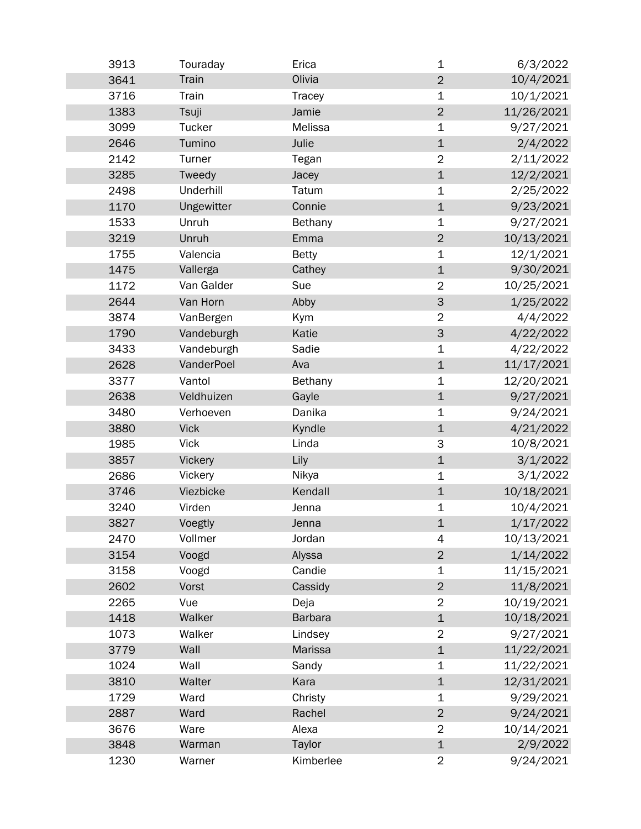| 3913 | Touraday      | Erica        | $\mathbf 1$    | 6/3/2022   |
|------|---------------|--------------|----------------|------------|
| 3641 | Train         | Olivia       | $\overline{2}$ | 10/4/2021  |
| 3716 | Train         | Tracey       | $\mathbf 1$    | 10/1/2021  |
| 1383 | Tsuji         | Jamie        | $\overline{2}$ | 11/26/2021 |
| 3099 | <b>Tucker</b> | Melissa      | $\mathbf 1$    | 9/27/2021  |
| 2646 | Tumino        | Julie        | $\mathbf 1$    | 2/4/2022   |
| 2142 | Turner        | Tegan        | $\overline{2}$ | 2/11/2022  |
| 3285 | Tweedy        | Jacey        | $\mathbf 1$    | 12/2/2021  |
| 2498 | Underhill     | Tatum        | 1              | 2/25/2022  |
| 1170 | Ungewitter    | Connie       | $\mathbf 1$    | 9/23/2021  |
| 1533 | Unruh         | Bethany      | $\mathbf 1$    | 9/27/2021  |
| 3219 | Unruh         | Emma         | $\overline{2}$ | 10/13/2021 |
| 1755 | Valencia      | <b>Betty</b> | $\mathbf 1$    | 12/1/2021  |
| 1475 | Vallerga      | Cathey       | $\mathbf 1$    | 9/30/2021  |
| 1172 | Van Galder    | Sue          | $\overline{2}$ | 10/25/2021 |
| 2644 | Van Horn      | Abby         | 3              | 1/25/2022  |
| 3874 | VanBergen     | Kym          | $\overline{2}$ | 4/4/2022   |
| 1790 | Vandeburgh    | Katie        | 3              | 4/22/2022  |
| 3433 | Vandeburgh    | Sadie        | $\mathbf 1$    | 4/22/2022  |
| 2628 | VanderPoel    | Ava          | $\mathbf{1}$   | 11/17/2021 |
| 3377 | Vantol        | Bethany      | $\mathbf 1$    | 12/20/2021 |
| 2638 | Veldhuizen    | Gayle        | $\mathbf 1$    | 9/27/2021  |
| 3480 | Verhoeven     | Danika       | 1              | 9/24/2021  |
| 3880 | <b>Vick</b>   | Kyndle       | $\mathbf 1$    | 4/21/2022  |
| 1985 | <b>Vick</b>   | Linda        | 3              | 10/8/2021  |
| 3857 | Vickery       | Lily         | $\mathbf 1$    | 3/1/2022   |
| 2686 | Vickery       | Nikya        | 1              | 3/1/2022   |
| 3746 | Viezbicke     | Kendall      | $\mathbf 1$    | 10/18/2021 |
| 3240 | Virden        | Jenna        | 1              | 10/4/2021  |
| 3827 | Voegtly       | Jenna        | $\mathbf 1$    | 1/17/2022  |
| 2470 | Vollmer       | Jordan       | 4              | 10/13/2021 |
| 3154 | Voogd         | Alyssa       | $\overline{2}$ | 1/14/2022  |
| 3158 | Voogd         | Candie       | 1              | 11/15/2021 |
| 2602 | Vorst         | Cassidy      | $\mathbf 2$    | 11/8/2021  |
| 2265 | Vue           | Deja         | $\overline{2}$ | 10/19/2021 |
| 1418 | Walker        | Barbara      | $\mathbf 1$    | 10/18/2021 |
| 1073 | Walker        | Lindsey      | $\overline{2}$ | 9/27/2021  |
| 3779 | Wall          | Marissa      | $\mathbf 1$    | 11/22/2021 |
| 1024 | Wall          | Sandy        | $\mathbf 1$    | 11/22/2021 |
| 3810 | Walter        | Kara         | $\mathbf 1$    | 12/31/2021 |
| 1729 | Ward          | Christy      | $\mathbf 1$    | 9/29/2021  |
| 2887 | Ward          | Rachel       | $\overline{2}$ | 9/24/2021  |
| 3676 | Ware          | Alexa        | $\overline{c}$ | 10/14/2021 |
| 3848 | Warman        | Taylor       | $\mathbf 1$    | 2/9/2022   |
| 1230 | Warner        | Kimberlee    | $\overline{2}$ | 9/24/2021  |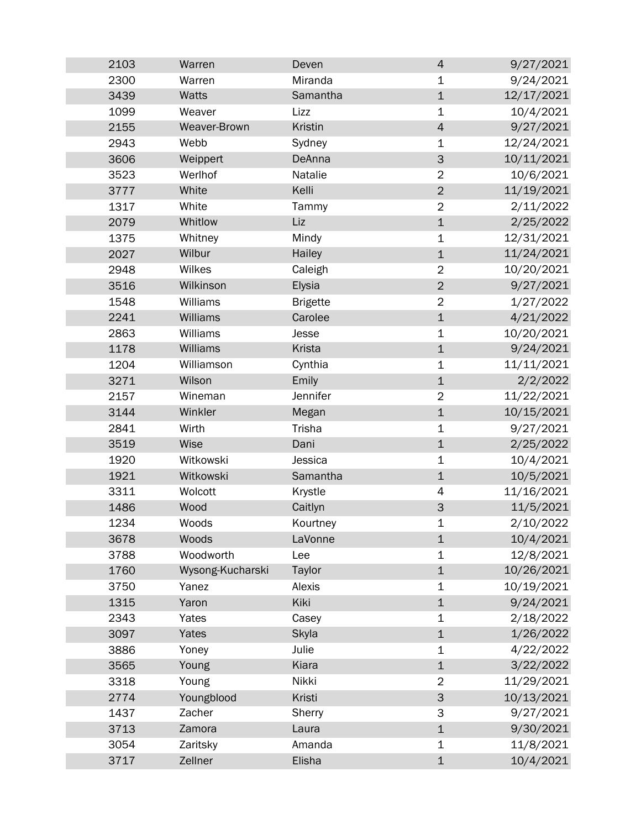| 2103 | Warren           | Deven           | $\overline{4}$            | 9/27/2021  |
|------|------------------|-----------------|---------------------------|------------|
| 2300 | Warren           | Miranda         | 1                         | 9/24/2021  |
| 3439 | Watts            | Samantha        | $\mathbf 1$               | 12/17/2021 |
| 1099 | Weaver           | Lizz            | $\mathbf 1$               | 10/4/2021  |
| 2155 | Weaver-Brown     | Kristin         | $\overline{4}$            | 9/27/2021  |
| 2943 | Webb             | Sydney          | $\mathbf 1$               | 12/24/2021 |
| 3606 | Weippert         | DeAnna          | $\ensuremath{\mathsf{3}}$ | 10/11/2021 |
| 3523 | Werlhof          | Natalie         | $\overline{2}$            | 10/6/2021  |
| 3777 | White            | Kelli           | $\overline{2}$            | 11/19/2021 |
| 1317 | White            | Tammy           | $\overline{2}$            | 2/11/2022  |
| 2079 | Whitlow          | Liz             | $\mathbf 1$               | 2/25/2022  |
| 1375 | Whitney          | Mindy           | $\mathbf 1$               | 12/31/2021 |
| 2027 | Wilbur           | Hailey          | $\mathbf 1$               | 11/24/2021 |
| 2948 | Wilkes           | Caleigh         | $\overline{2}$            | 10/20/2021 |
| 3516 | Wilkinson        | Elysia          | $\overline{2}$            | 9/27/2021  |
| 1548 | Williams         | <b>Brigette</b> | $\overline{2}$            | 1/27/2022  |
| 2241 | Williams         | Carolee         | $\mathbf 1$               | 4/21/2022  |
| 2863 | Williams         | Jesse           | $\mathbf 1$               | 10/20/2021 |
| 1178 | Williams         | Krista          | $\mathbf 1$               | 9/24/2021  |
| 1204 | Williamson       | Cynthia         | $\mathbf 1$               | 11/11/2021 |
| 3271 | Wilson           | Emily           | $\mathbf 1$               | 2/2/2022   |
| 2157 | Wineman          | Jennifer        | $\overline{2}$            | 11/22/2021 |
| 3144 | Winkler          | Megan           | $\mathbf{1}$              | 10/15/2021 |
| 2841 | Wirth            | Trisha          | 1                         | 9/27/2021  |
| 3519 | Wise             | Dani            | $\mathbf 1$               | 2/25/2022  |
| 1920 | Witkowski        | Jessica         | $\mathbf 1$               | 10/4/2021  |
| 1921 | Witkowski        | Samantha        | $\mathbf 1$               | 10/5/2021  |
| 3311 | Wolcott          | Krystle         | 4                         | 11/16/2021 |
| 1486 | Wood             | Caitlyn         | $\mathsf{3}$              | 11/5/2021  |
| 1234 | Woods            | Kourtney        | 1                         | 2/10/2022  |
| 3678 | Woods            | LaVonne         | $\mathbf 1$               | 10/4/2021  |
| 3788 | Woodworth        | Lee             | 1                         | 12/8/2021  |
| 1760 | Wysong-Kucharski | Taylor          | $\mathbf 1$               | 10/26/2021 |
| 3750 | Yanez            | Alexis          | 1                         | 10/19/2021 |
| 1315 | Yaron            | Kiki            | $\mathbf 1$               | 9/24/2021  |
| 2343 | Yates            | Casey           | 1                         | 2/18/2022  |
| 3097 | Yates            | Skyla           | $\mathbf 1$               | 1/26/2022  |
| 3886 | Yoney            | Julie           | 1                         | 4/22/2022  |
| 3565 | Young            | Kiara           | $\mathbf 1$               | 3/22/2022  |
| 3318 | Young            | Nikki           | $\overline{2}$            | 11/29/2021 |
| 2774 | Youngblood       | Kristi          | 3                         | 10/13/2021 |
| 1437 | Zacher           | Sherry          | 3                         | 9/27/2021  |
| 3713 | Zamora           | Laura           | $\mathbf 1$               | 9/30/2021  |
| 3054 | Zaritsky         | Amanda          | 1                         | 11/8/2021  |
| 3717 | Zellner          | Elisha          | $\mathbf 1$               | 10/4/2021  |